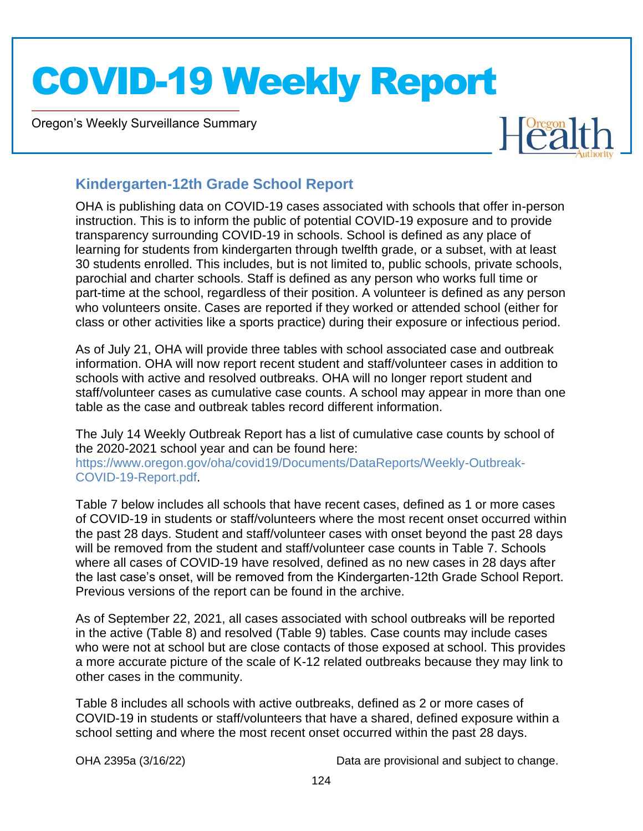Oregon's Weekly Surveillance Summary

Novel Coronavirus (COVID-19)



#### **Kindergarten-12th Grade School Report**

OHA is publishing data on COVID-19 cases associated with schools that offer in-person instruction. This is to inform the public of potential COVID-19 exposure and to provide transparency surrounding COVID-19 in schools. School is defined as any place of learning for students from kindergarten through twelfth grade, or a subset, with at least 30 students enrolled. This includes, but is not limited to, public schools, private schools, parochial and charter schools. Staff is defined as any person who works full time or part-time at the school, regardless of their position. A volunteer is defined as any person who volunteers onsite. Cases are reported if they worked or attended school (either for class or other activities like a sports practice) during their exposure or infectious period.

As of July 21, OHA will provide three tables with school associated case and outbreak information. OHA will now report recent student and staff/volunteer cases in addition to schools with active and resolved outbreaks. OHA will no longer report student and staff/volunteer cases as cumulative case counts. A school may appear in more than one table as the case and outbreak tables record different information.

The July 14 Weekly Outbreak Report has a list of cumulative case counts by school of the 2020-2021 school year and can be found here: https://www.oregon.gov/oha/covid19/Documents/DataReports/Weekly-Outbreak-COVID-19-Report.pdf.

Table 7 below includes all schools that have recent cases, defined as 1 or more cases of COVID-19 in students or staff/volunteers where the most recent onset occurred within the past 28 days. Student and staff/volunteer cases with onset beyond the past 28 days will be removed from the student and staff/volunteer case counts in Table 7. Schools where all cases of COVID-19 have resolved, defined as no new cases in 28 days after the last case's onset, will be removed from the Kindergarten-12th Grade School Report. Previous versions of the report can be found in the archive.

As of September 22, 2021, all cases associated with school outbreaks will be reported in the active (Table 8) and resolved (Table 9) tables. Case counts may include cases who were not at school but are close contacts of those exposed at school. This provides a more accurate picture of the scale of K-12 related outbreaks because they may link to other cases in the community.

Table 8 includes all schools with active outbreaks, defined as 2 or more cases of COVID-19 in students or staff/volunteers that have a shared, defined exposure within a school setting and where the most recent onset occurred within the past 28 days.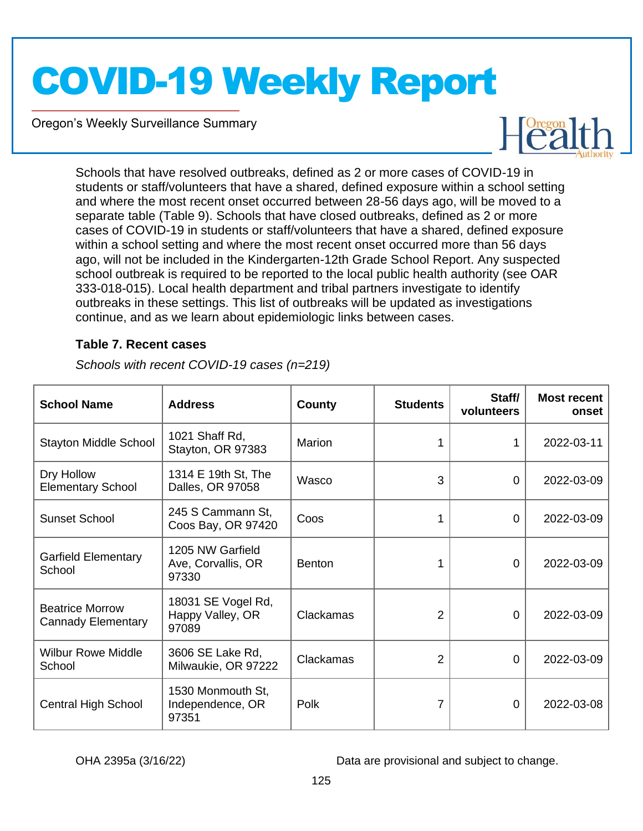Oregon's Weekly Surveillance Summary

Novel Coronavirus (COVID-19)



Schools that have resolved outbreaks, defined as 2 or more cases of COVID-19 in students or staff/volunteers that have a shared, defined exposure within a school setting and where the most recent onset occurred between 28-56 days ago, will be moved to a separate table (Table 9). Schools that have closed outbreaks, defined as 2 or more cases of COVID-19 in students or staff/volunteers that have a shared, defined exposure within a school setting and where the most recent onset occurred more than 56 days ago, will not be included in the Kindergarten-12th Grade School Report. Any suspected school outbreak is required to be reported to the local public health authority (see OAR 333-018-015). Local health department and tribal partners investigate to identify outbreaks in these settings. This list of outbreaks will be updated as investigations continue, and as we learn about epidemiologic links between cases.

#### **Table 7. Recent cases**

| <b>School Name</b>                                  | <b>Address</b>                                  | <b>County</b>    | <b>Students</b> | Staff/<br>volunteers | <b>Most recent</b><br>onset |
|-----------------------------------------------------|-------------------------------------------------|------------------|-----------------|----------------------|-----------------------------|
| <b>Stayton Middle School</b>                        | 1021 Shaff Rd,<br>Stayton, OR 97383             | Marion           | 1               | 1                    | 2022-03-11                  |
| Dry Hollow<br><b>Elementary School</b>              | 1314 E 19th St, The<br>Dalles, OR 97058         | Wasco            | 3               | 0                    | 2022-03-09                  |
| <b>Sunset School</b>                                | 245 S Cammann St,<br>Coos Bay, OR 97420         | Coos             |                 | 0                    | 2022-03-09                  |
| <b>Garfield Elementary</b><br>School                | 1205 NW Garfield<br>Ave, Corvallis, OR<br>97330 | <b>Benton</b>    |                 | 0                    | 2022-03-09                  |
| <b>Beatrice Morrow</b><br><b>Cannady Elementary</b> | 18031 SE Vogel Rd,<br>Happy Valley, OR<br>97089 | <b>Clackamas</b> | $\overline{2}$  | 0                    | 2022-03-09                  |
| <b>Wilbur Rowe Middle</b><br>School                 | 3606 SE Lake Rd,<br>Milwaukie, OR 97222         | <b>Clackamas</b> | 2               | 0                    | 2022-03-09                  |
| <b>Central High School</b>                          | 1530 Monmouth St,<br>Independence, OR<br>97351  | Polk             |                 | $\Omega$             | 2022-03-08                  |

*Schools with recent COVID-19 cases (n=219)*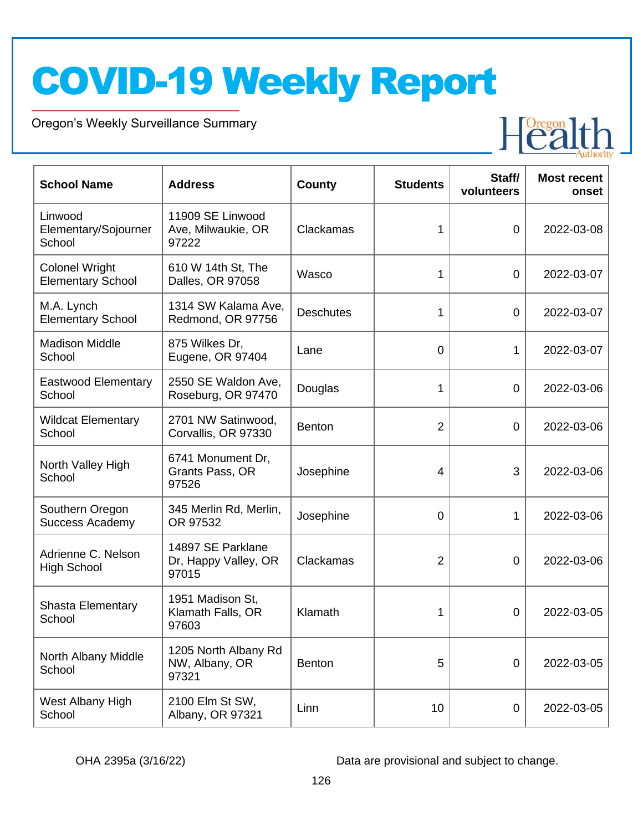Oregon's Weekly Surveillance Summary

Novel Coronavirus (COVID-19)



| <b>School Name</b>                                | <b>Address</b>                                     | County           | <b>Students</b> | Staff/<br>volunteers | <b>Most recent</b><br>onset |
|---------------------------------------------------|----------------------------------------------------|------------------|-----------------|----------------------|-----------------------------|
| Linwood<br>Elementary/Sojourner<br>School         | 11909 SE Linwood<br>Ave, Milwaukie, OR<br>97222    | Clackamas        | 1               | $\overline{0}$       | 2022-03-08                  |
| <b>Colonel Wright</b><br><b>Elementary School</b> | 610 W 14th St, The<br>Dalles, OR 97058             | Wasco            | 1               | $\overline{0}$       | 2022-03-07                  |
| M.A. Lynch<br><b>Elementary School</b>            | 1314 SW Kalama Ave,<br>Redmond, OR 97756           | <b>Deschutes</b> | 1               | $\mathbf 0$          | 2022-03-07                  |
| <b>Madison Middle</b><br>School                   | 875 Wilkes Dr,<br>Eugene, OR 97404                 | Lane             | $\overline{0}$  | 1                    | 2022-03-07                  |
| <b>Eastwood Elementary</b><br>School              | 2550 SE Waldon Ave,<br>Roseburg, OR 97470          | Douglas          | 1               | $\mathbf 0$          | 2022-03-06                  |
| <b>Wildcat Elementary</b><br>School               | 2701 NW Satinwood,<br>Corvallis, OR 97330          | <b>Benton</b>    | 2               | $\mathbf 0$          | 2022-03-06                  |
| North Valley High<br>School                       | 6741 Monument Dr,<br>Grants Pass, OR<br>97526      | Josephine        | $\overline{4}$  | 3                    | 2022-03-06                  |
| Southern Oregon<br><b>Success Academy</b>         | 345 Merlin Rd, Merlin,<br>OR 97532                 | Josephine        | 0               | 1                    | 2022-03-06                  |
| Adrienne C. Nelson<br><b>High School</b>          | 14897 SE Parklane<br>Dr, Happy Valley, OR<br>97015 | Clackamas        | 2               | 0                    | 2022-03-06                  |
| <b>Shasta Elementary</b><br>School                | 1951 Madison St,<br>Klamath Falls, OR<br>97603     | Klamath          | 1               | 0                    | 2022-03-05                  |
| North Albany Middle<br>School                     | 1205 North Albany Rd<br>NW, Albany, OR<br>97321    | <b>Benton</b>    | 5               | 0                    | 2022-03-05                  |
| West Albany High<br>School                        | 2100 Elm St SW,<br>Albany, OR 97321                | Linn             | 10              | $\mathbf 0$          | 2022-03-05                  |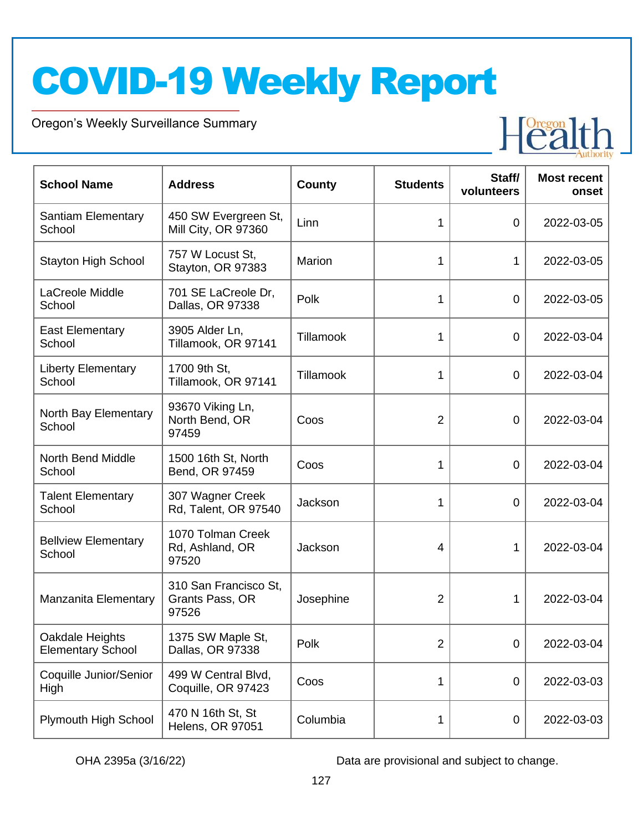Oregon's Weekly Surveillance Summary

Novel Coronavirus (COVID-19)



| <b>School Name</b>                          | <b>Address</b>                                    | County           | <b>Students</b> | Staff/<br>volunteers | <b>Most recent</b><br>onset |
|---------------------------------------------|---------------------------------------------------|------------------|-----------------|----------------------|-----------------------------|
| <b>Santiam Elementary</b><br>School         | 450 SW Evergreen St,<br>Mill City, OR 97360       | Linn             | 1               | 0                    | 2022-03-05                  |
| <b>Stayton High School</b>                  | 757 W Locust St,<br>Stayton, OR 97383             | Marion           | 1               | 1                    | 2022-03-05                  |
| LaCreole Middle<br>School                   | 701 SE LaCreole Dr,<br>Dallas, OR 97338           | Polk             | 1               | 0                    | 2022-03-05                  |
| <b>East Elementary</b><br>School            | 3905 Alder Ln,<br>Tillamook, OR 97141             | <b>Tillamook</b> | 1               | $\overline{0}$       | 2022-03-04                  |
| <b>Liberty Elementary</b><br>School         | 1700 9th St,<br>Tillamook, OR 97141               | <b>Tillamook</b> | 1               | $\mathbf 0$          | 2022-03-04                  |
| North Bay Elementary<br>School              | 93670 Viking Ln,<br>North Bend, OR<br>97459       | Coos             | $\overline{2}$  | $\overline{0}$       | 2022-03-04                  |
| <b>North Bend Middle</b><br>School          | 1500 16th St, North<br>Bend, OR 97459             | Coos             | 1               | $\overline{0}$       | 2022-03-04                  |
| <b>Talent Elementary</b><br>School          | 307 Wagner Creek<br>Rd, Talent, OR 97540          | Jackson          | 1               | $\mathbf 0$          | 2022-03-04                  |
| <b>Bellview Elementary</b><br>School        | 1070 Tolman Creek<br>Rd, Ashland, OR<br>97520     | Jackson          | $\overline{4}$  | 1                    | 2022-03-04                  |
| Manzanita Elementary                        | 310 San Francisco St,<br>Grants Pass, OR<br>97526 | Josephine        | 2               | 1                    | 2022-03-04                  |
| Oakdale Heights<br><b>Elementary School</b> | 1375 SW Maple St,<br>Dallas, OR 97338             | Polk             | $\overline{2}$  | $\overline{0}$       | 2022-03-04                  |
| Coquille Junior/Senior<br>High              | 499 W Central Blvd,<br>Coquille, OR 97423         | Coos             | 1               | $\mathbf 0$          | 2022-03-03                  |
| Plymouth High School                        | 470 N 16th St, St<br><b>Helens, OR 97051</b>      | Columbia         | 1               | $\mathbf 0$          | 2022-03-03                  |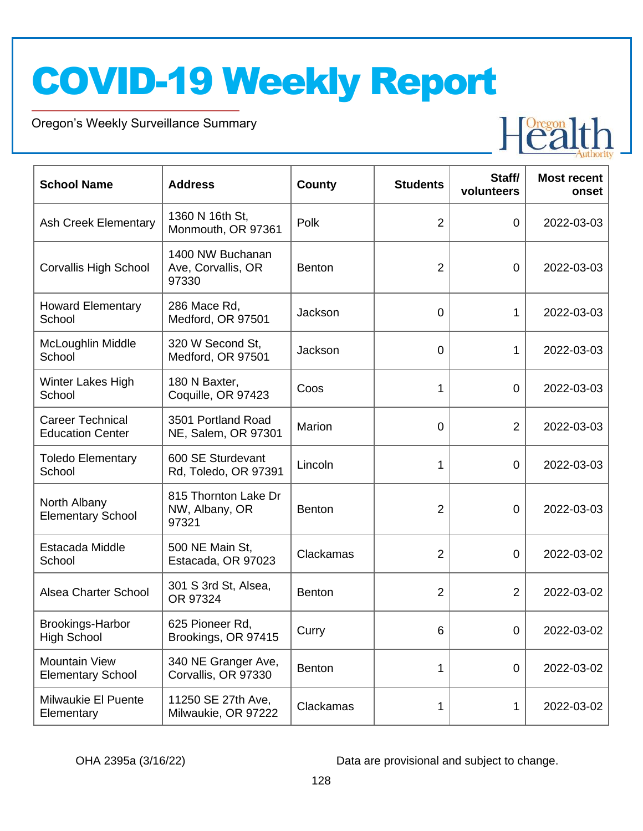Oregon's Weekly Surveillance Summary

Novel Coronavirus (COVID-19)



| <b>School Name</b>                                 | <b>Address</b>                                  | <b>County</b> | <b>Students</b> | Staff/<br>volunteers | <b>Most recent</b><br>onset |
|----------------------------------------------------|-------------------------------------------------|---------------|-----------------|----------------------|-----------------------------|
| <b>Ash Creek Elementary</b>                        | 1360 N 16th St,<br>Monmouth, OR 97361           | Polk          | $\overline{2}$  | $\overline{0}$       | 2022-03-03                  |
| <b>Corvallis High School</b>                       | 1400 NW Buchanan<br>Ave, Corvallis, OR<br>97330 | <b>Benton</b> | $\overline{2}$  | $\overline{0}$       | 2022-03-03                  |
| <b>Howard Elementary</b><br>School                 | 286 Mace Rd,<br>Medford, OR 97501               | Jackson       | $\mathbf 0$     | 1                    | 2022-03-03                  |
| McLoughlin Middle<br>School                        | 320 W Second St,<br>Medford, OR 97501           | Jackson       | $\mathbf 0$     | 1                    | 2022-03-03                  |
| Winter Lakes High<br>School                        | 180 N Baxter,<br>Coquille, OR 97423             | Coos          | 1               | $\overline{0}$       | 2022-03-03                  |
| <b>Career Technical</b><br><b>Education Center</b> | 3501 Portland Road<br>NE, Salem, OR 97301       | Marion        | $\mathbf 0$     | $\overline{2}$       | 2022-03-03                  |
| <b>Toledo Elementary</b><br>School                 | 600 SE Sturdevant<br>Rd, Toledo, OR 97391       | Lincoln       | 1               | 0                    | 2022-03-03                  |
| North Albany<br><b>Elementary School</b>           | 815 Thornton Lake Dr<br>NW, Albany, OR<br>97321 | <b>Benton</b> | $\overline{2}$  | $\overline{0}$       | 2022-03-03                  |
| Estacada Middle<br>School                          | 500 NE Main St,<br>Estacada, OR 97023           | Clackamas     | $\overline{2}$  | $\overline{0}$       | 2022-03-02                  |
| Alsea Charter School                               | 301 S 3rd St, Alsea,<br>OR 97324                | <b>Benton</b> | $\overline{2}$  | $\overline{2}$       | 2022-03-02                  |
| <b>Brookings-Harbor</b><br><b>High School</b>      | 625 Pioneer Rd,<br>Brookings, OR 97415          | Curry         | 6               | $\Omega$             | 2022-03-02                  |
| <b>Mountain View</b><br><b>Elementary School</b>   | 340 NE Granger Ave,<br>Corvallis, OR 97330      | <b>Benton</b> | 1               | $\overline{0}$       | 2022-03-02                  |
| Milwaukie El Puente<br>Elementary                  | 11250 SE 27th Ave,<br>Milwaukie, OR 97222       | Clackamas     | 1               | 1                    | 2022-03-02                  |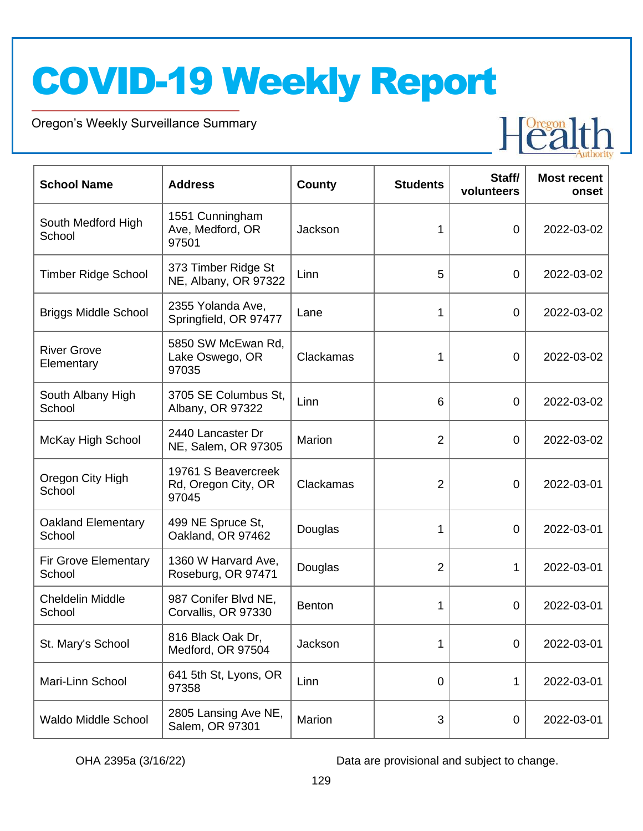Oregon's Weekly Surveillance Summary

Novel Coronavirus (COVID-19)



| <b>School Name</b>                  | <b>Address</b>                                      | <b>County</b> | <b>Students</b> | Staff/<br>volunteers | <b>Most recent</b><br>onset |
|-------------------------------------|-----------------------------------------------------|---------------|-----------------|----------------------|-----------------------------|
| South Medford High<br>School        | 1551 Cunningham<br>Ave, Medford, OR<br>97501        | Jackson       | 1               | $\overline{0}$       | 2022-03-02                  |
| <b>Timber Ridge School</b>          | 373 Timber Ridge St<br>NE, Albany, OR 97322         | Linn          | 5               | 0                    | 2022-03-02                  |
| <b>Briggs Middle School</b>         | 2355 Yolanda Ave,<br>Springfield, OR 97477          | Lane          | 1               | $\overline{0}$       | 2022-03-02                  |
| <b>River Grove</b><br>Elementary    | 5850 SW McEwan Rd,<br>Lake Oswego, OR<br>97035      | Clackamas     | 1               | $\overline{0}$       | 2022-03-02                  |
| South Albany High<br>School         | 3705 SE Columbus St,<br>Albany, OR 97322            | Linn          | 6               | $\overline{0}$       | 2022-03-02                  |
| McKay High School                   | 2440 Lancaster Dr<br>NE, Salem, OR 97305            | Marion        | $\overline{2}$  | $\overline{0}$       | 2022-03-02                  |
| Oregon City High<br>School          | 19761 S Beavercreek<br>Rd, Oregon City, OR<br>97045 | Clackamas     | $\overline{2}$  | 0                    | 2022-03-01                  |
| <b>Oakland Elementary</b><br>School | 499 NE Spruce St,<br>Oakland, OR 97462              | Douglas       | 1               | $\overline{0}$       | 2022-03-01                  |
| Fir Grove Elementary<br>School      | 1360 W Harvard Ave,<br>Roseburg, OR 97471           | Douglas       | $\overline{2}$  | 1                    | 2022-03-01                  |
| Cheldelin Middle<br>School          | 987 Conifer Blvd NE,<br>Corvallis, OR 97330         | <b>Benton</b> | 1               | 0                    | 2022-03-01                  |
| St. Mary's School                   | 816 Black Oak Dr,<br>Medford, OR 97504              | Jackson       | 1               | 0                    | 2022-03-01                  |
| Mari-Linn School                    | 641 5th St, Lyons, OR<br>97358                      | Linn          | $\overline{0}$  | 1                    | 2022-03-01                  |
| Waldo Middle School                 | 2805 Lansing Ave NE,<br>Salem, OR 97301             | Marion        | 3               | 0                    | 2022-03-01                  |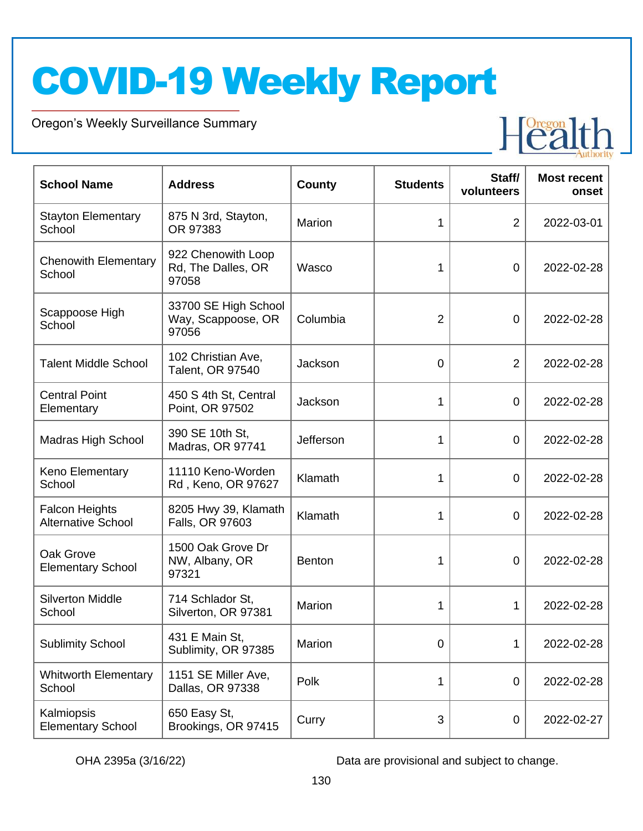Oregon's Weekly Surveillance Summary

Novel Coronavirus (COVID-19)



| <b>School Name</b>                                 | <b>Address</b>                                      | County        | <b>Students</b> | Staff/<br>volunteers | <b>Most recent</b><br>onset |
|----------------------------------------------------|-----------------------------------------------------|---------------|-----------------|----------------------|-----------------------------|
| <b>Stayton Elementary</b><br>School                | 875 N 3rd, Stayton,<br>OR 97383                     | Marion        | 1               | $\overline{2}$       | 2022-03-01                  |
| <b>Chenowith Elementary</b><br>School              | 922 Chenowith Loop<br>Rd, The Dalles, OR<br>97058   | Wasco         | 1               | $\mathbf 0$          | 2022-02-28                  |
| Scappoose High<br>School                           | 33700 SE High School<br>Way, Scappoose, OR<br>97056 | Columbia      | $\overline{2}$  | $\mathbf 0$          | 2022-02-28                  |
| <b>Talent Middle School</b>                        | 102 Christian Ave,<br>Talent, OR 97540              | Jackson       | 0               | 2                    | 2022-02-28                  |
| <b>Central Point</b><br>Elementary                 | 450 S 4th St, Central<br>Point, OR 97502            | Jackson       | 1               | $\mathbf 0$          | 2022-02-28                  |
| <b>Madras High School</b>                          | 390 SE 10th St,<br>Madras, OR 97741                 | Jefferson     | 1               | $\mathbf 0$          | 2022-02-28                  |
| Keno Elementary<br>School                          | 11110 Keno-Worden<br>Rd, Keno, OR 97627             | Klamath       | 1               | $\mathbf 0$          | 2022-02-28                  |
| <b>Falcon Heights</b><br><b>Alternative School</b> | 8205 Hwy 39, Klamath<br>Falls, OR 97603             | Klamath       | 1               | $\mathbf 0$          | 2022-02-28                  |
| Oak Grove<br><b>Elementary School</b>              | 1500 Oak Grove Dr<br>NW, Albany, OR<br>97321        | <b>Benton</b> | 1               | 0                    | 2022-02-28                  |
| <b>Silverton Middle</b><br>School                  | 714 Schlador St,<br>Silverton, OR 97381             | Marion        | 1               | 1                    | 2022-02-28                  |
| <b>Sublimity School</b>                            | 431 E Main St,<br>Sublimity, OR 97385               | Marion        | 0               | 1                    | 2022-02-28                  |
| <b>Whitworth Elementary</b><br>School              | 1151 SE Miller Ave,<br>Dallas, OR 97338             | Polk          | 1               | $\mathbf 0$          | 2022-02-28                  |
| Kalmiopsis<br><b>Elementary School</b>             | 650 Easy St,<br>Brookings, OR 97415                 | Curry         | 3               | $\mathbf 0$          | 2022-02-27                  |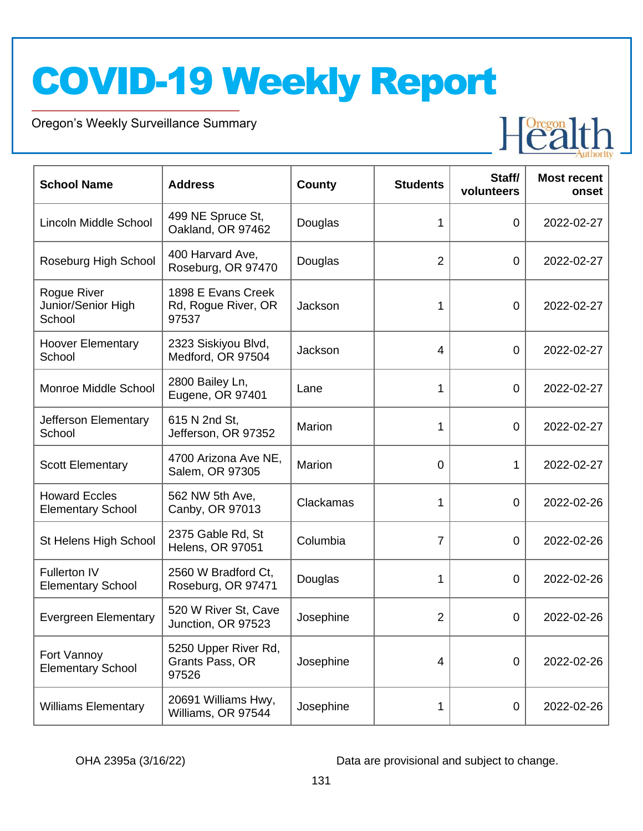Oregon's Weekly Surveillance Summary

Novel Coronavirus (COVID-19)



| <b>School Name</b>                               | <b>Address</b>                                     | <b>County</b> | <b>Students</b> | Staff/<br>volunteers | <b>Most recent</b><br>onset |
|--------------------------------------------------|----------------------------------------------------|---------------|-----------------|----------------------|-----------------------------|
| Lincoln Middle School                            | 499 NE Spruce St,<br>Oakland, OR 97462             | Douglas       | 1               | 0                    | 2022-02-27                  |
| Roseburg High School                             | 400 Harvard Ave,<br>Roseburg, OR 97470             | Douglas       | $\overline{2}$  | 0                    | 2022-02-27                  |
| Rogue River<br>Junior/Senior High<br>School      | 1898 E Evans Creek<br>Rd, Rogue River, OR<br>97537 | Jackson       | 1               | $\mathbf 0$          | 2022-02-27                  |
| <b>Hoover Elementary</b><br>School               | 2323 Siskiyou Blvd,<br>Medford, OR 97504           | Jackson       | 4               | 0                    | 2022-02-27                  |
| Monroe Middle School                             | 2800 Bailey Ln,<br>Eugene, OR 97401                | Lane          | 1               | 0                    | 2022-02-27                  |
| Jefferson Elementary<br>School                   | 615 N 2nd St,<br>Jefferson, OR 97352               | Marion        | 1               | 0                    | 2022-02-27                  |
| <b>Scott Elementary</b>                          | 4700 Arizona Ave NE,<br>Salem, OR 97305            | Marion        | 0               | 1                    | 2022-02-27                  |
| <b>Howard Eccles</b><br><b>Elementary School</b> | 562 NW 5th Ave,<br>Canby, OR 97013                 | Clackamas     | 1               | 0                    | 2022-02-26                  |
| St Helens High School                            | 2375 Gable Rd, St<br><b>Helens, OR 97051</b>       | Columbia      | $\overline{7}$  | $\overline{0}$       | 2022-02-26                  |
| Fullerton IV<br><b>Elementary School</b>         | 2560 W Bradford Ct,<br>Roseburg, OR 97471          | Douglas       | 1               | $\overline{0}$       | 2022-02-26                  |
| <b>Evergreen Elementary</b>                      | 520 W River St, Cave<br>Junction, OR 97523         | Josephine     | 2               | 0                    | 2022-02-26                  |
| Fort Vannoy<br><b>Elementary School</b>          | 5250 Upper River Rd,<br>Grants Pass, OR<br>97526   | Josephine     | 4               | $\mathbf 0$          | 2022-02-26                  |
| <b>Williams Elementary</b>                       | 20691 Williams Hwy,<br>Williams, OR 97544          | Josephine     | 1               | $\boldsymbol{0}$     | 2022-02-26                  |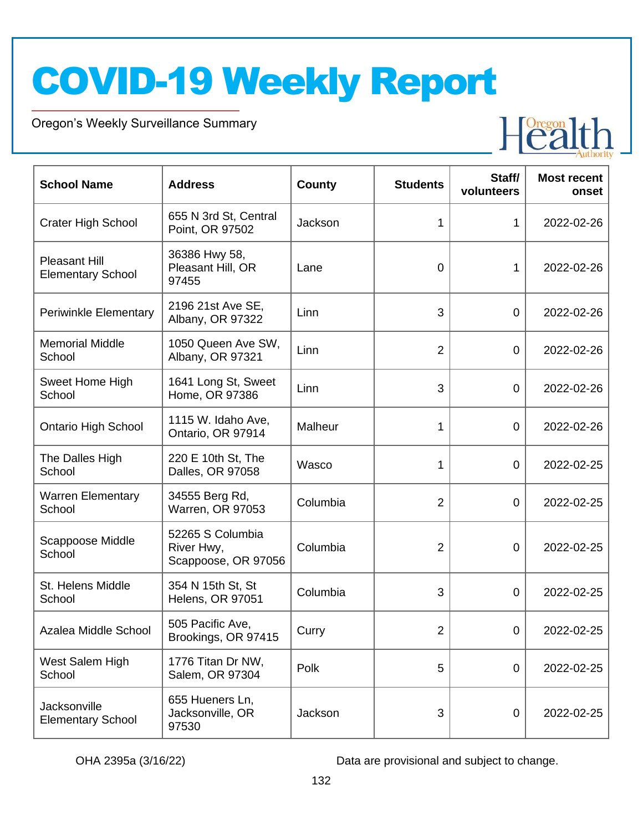Oregon's Weekly Surveillance Summary

Novel Coronavirus (COVID-19)



| <b>School Name</b>                               | <b>Address</b>                                        | <b>County</b> | <b>Students</b> | Staff/<br>volunteers | <b>Most recent</b><br>onset |
|--------------------------------------------------|-------------------------------------------------------|---------------|-----------------|----------------------|-----------------------------|
| <b>Crater High School</b>                        | 655 N 3rd St, Central<br>Point, OR 97502              | Jackson       | 1               | 1                    | 2022-02-26                  |
| <b>Pleasant Hill</b><br><b>Elementary School</b> | 36386 Hwy 58,<br>Pleasant Hill, OR<br>97455           | Lane          | 0               | 1                    | 2022-02-26                  |
| <b>Periwinkle Elementary</b>                     | 2196 21st Ave SE,<br>Albany, OR 97322                 | Linn          | 3               | $\mathbf 0$          | 2022-02-26                  |
| <b>Memorial Middle</b><br>School                 | 1050 Queen Ave SW,<br>Albany, OR 97321                | Linn          | $\overline{2}$  | $\mathbf 0$          | 2022-02-26                  |
| Sweet Home High<br>School                        | 1641 Long St, Sweet<br>Home, OR 97386                 | Linn          | 3               | $\mathbf 0$          | 2022-02-26                  |
| <b>Ontario High School</b>                       | 1115 W. Idaho Ave,<br>Ontario, OR 97914               | Malheur       | 1               | $\boldsymbol{0}$     | 2022-02-26                  |
| The Dalles High<br>School                        | 220 E 10th St, The<br>Dalles, OR 97058                | Wasco         | 1               | $\mathbf 0$          | 2022-02-25                  |
| <b>Warren Elementary</b><br>School               | 34555 Berg Rd,<br>Warren, OR 97053                    | Columbia      | $\overline{2}$  | $\mathbf 0$          | 2022-02-25                  |
| Scappoose Middle<br>School                       | 52265 S Columbia<br>River Hwy,<br>Scappoose, OR 97056 | Columbia      | $\overline{2}$  | 0                    | 2022-02-25                  |
| St. Helens Middle<br>School                      | 354 N 15th St, St<br><b>Helens, OR 97051</b>          | Columbia      | 3               | 0                    | 2022-02-25                  |
| Azalea Middle School                             | 505 Pacific Ave,<br>Brookings, OR 97415               | Curry         | 2               | $\overline{0}$       | 2022-02-25                  |
| West Salem High<br>School                        | 1776 Titan Dr NW,<br>Salem, OR 97304                  | Polk          | 5               | $\mathbf 0$          | 2022-02-25                  |
| Jacksonville<br><b>Elementary School</b>         | 655 Hueners Ln,<br>Jacksonville, OR<br>97530          | Jackson       | 3               | $\pmb{0}$            | 2022-02-25                  |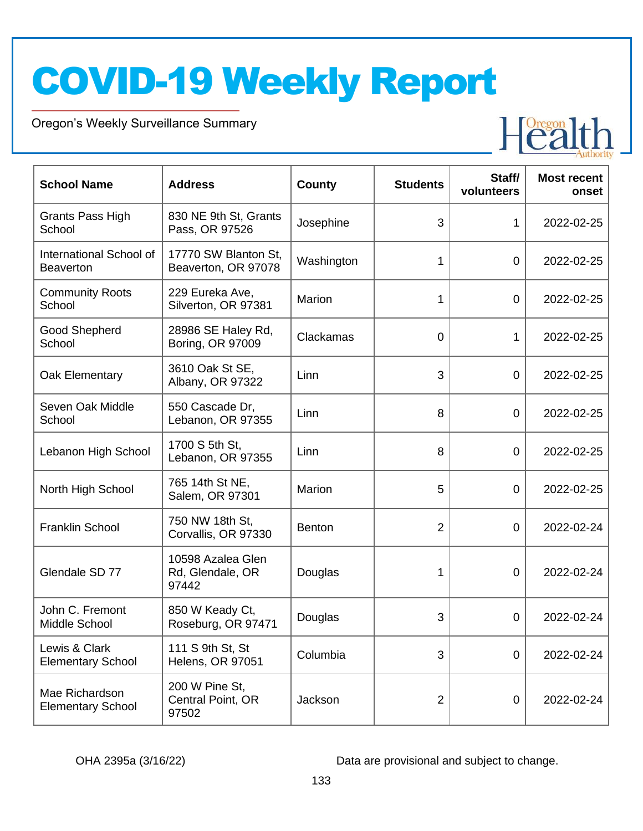Oregon's Weekly Surveillance Summary

Novel Coronavirus (COVID-19)



| <b>School Name</b>                          | <b>Address</b>                                 | <b>County</b> | <b>Students</b> | Staff/<br>volunteers | <b>Most recent</b><br>onset |
|---------------------------------------------|------------------------------------------------|---------------|-----------------|----------------------|-----------------------------|
| <b>Grants Pass High</b><br>School           | 830 NE 9th St, Grants<br>Pass, OR 97526        | Josephine     | 3               | 1                    | 2022-02-25                  |
| International School of<br><b>Beaverton</b> | 17770 SW Blanton St,<br>Beaverton, OR 97078    | Washington    | 1               | $\mathbf 0$          | 2022-02-25                  |
| <b>Community Roots</b><br>School            | 229 Eureka Ave,<br>Silverton, OR 97381         | Marion        | 1               | 0                    | 2022-02-25                  |
| Good Shepherd<br>School                     | 28986 SE Haley Rd,<br>Boring, OR 97009         | Clackamas     | 0               | 1                    | 2022-02-25                  |
| Oak Elementary                              | 3610 Oak St SE,<br>Albany, OR 97322            | Linn          | 3               | $\mathbf 0$          | 2022-02-25                  |
| Seven Oak Middle<br>School                  | 550 Cascade Dr,<br>Lebanon, OR 97355           | Linn          | 8               | $\mathbf 0$          | 2022-02-25                  |
| Lebanon High School                         | 1700 S 5th St,<br>Lebanon, OR 97355            | Linn          | 8               | $\mathbf 0$          | 2022-02-25                  |
| North High School                           | 765 14th St NE,<br>Salem, OR 97301             | Marion        | 5               | $\mathbf 0$          | 2022-02-25                  |
| <b>Franklin School</b>                      | 750 NW 18th St,<br>Corvallis, OR 97330         | <b>Benton</b> | $\overline{2}$  | 0                    | 2022-02-24                  |
| Glendale SD 77                              | 10598 Azalea Glen<br>Rd, Glendale, OR<br>97442 | Douglas       | 1               | 0                    | 2022-02-24                  |
| John C. Fremont<br>Middle School            | 850 W Keady Ct,<br>Roseburg, OR 97471          | Douglas       | 3               | 0                    | 2022-02-24                  |
| Lewis & Clark<br><b>Elementary School</b>   | 111 S 9th St, St<br><b>Helens, OR 97051</b>    | Columbia      | 3               | $\mathbf 0$          | 2022-02-24                  |
| Mae Richardson<br><b>Elementary School</b>  | 200 W Pine St,<br>Central Point, OR<br>97502   | Jackson       | $\overline{2}$  | 0                    | 2022-02-24                  |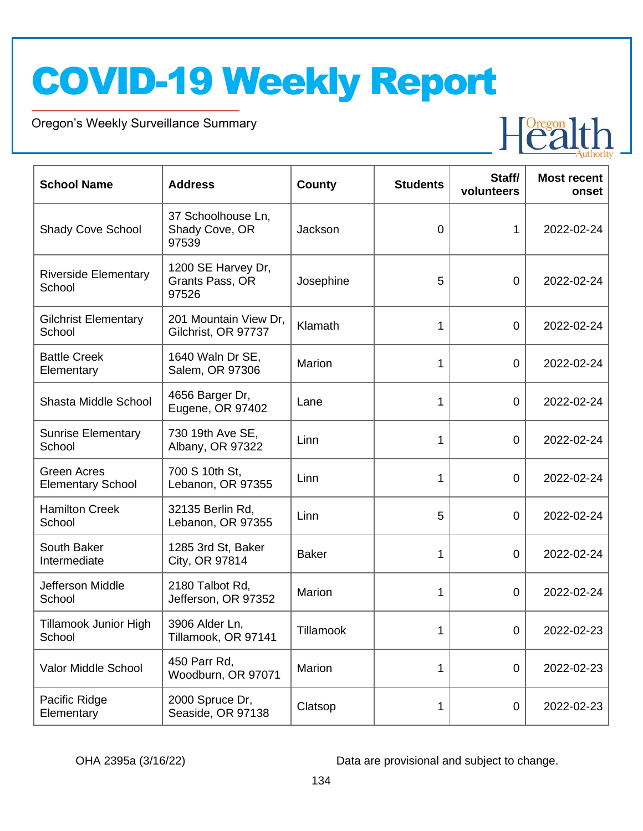Oregon's Weekly Surveillance Summary

Novel Coronavirus (COVID-19)



| <b>School Name</b>                      | <b>Address</b>                                 | <b>County</b> | <b>Students</b> | Staff/<br>volunteers | <b>Most recent</b><br>onset |
|-----------------------------------------|------------------------------------------------|---------------|-----------------|----------------------|-----------------------------|
| <b>Shady Cove School</b>                | 37 Schoolhouse Ln,<br>Shady Cove, OR<br>97539  | Jackson       | 0               | 1                    | 2022-02-24                  |
| <b>Riverside Elementary</b><br>School   | 1200 SE Harvey Dr,<br>Grants Pass, OR<br>97526 | Josephine     | 5               | $\overline{0}$       | 2022-02-24                  |
| <b>Gilchrist Elementary</b><br>School   | 201 Mountain View Dr,<br>Gilchrist, OR 97737   | Klamath       | 1               | $\overline{0}$       | 2022-02-24                  |
| <b>Battle Creek</b><br>Elementary       | 1640 Waln Dr SE,<br>Salem, OR 97306            | <b>Marion</b> | 1               | $\overline{0}$       | 2022-02-24                  |
| Shasta Middle School                    | 4656 Barger Dr,<br>Eugene, OR 97402            | Lane          | 1               | $\overline{0}$       | 2022-02-24                  |
| <b>Sunrise Elementary</b><br>School     | 730 19th Ave SE,<br>Albany, OR 97322           | Linn          | 1               | $\overline{0}$       | 2022-02-24                  |
| Green Acres<br><b>Elementary School</b> | 700 S 10th St,<br>Lebanon, OR 97355            | Linn          | 1               | $\overline{0}$       | 2022-02-24                  |
| <b>Hamilton Creek</b><br>School         | 32135 Berlin Rd,<br>Lebanon, OR 97355          | Linn          | 5               | $\overline{0}$       | 2022-02-24                  |
| South Baker<br>Intermediate             | 1285 3rd St, Baker<br>City, OR 97814           | <b>Baker</b>  | 1               | $\overline{0}$       | 2022-02-24                  |
| Jefferson Middle<br>School              | 2180 Talbot Rd,<br>Jefferson, OR 97352         | Marion        | 1               | $\overline{0}$       | 2022-02-24                  |
| <b>Tillamook Junior High</b><br>School  | 3906 Alder Ln,<br>Tillamook, OR 97141          | Tillamook     |                 | $\mathbf 0$          | 2022-02-23                  |
| Valor Middle School                     | 450 Parr Rd,<br>Woodburn, OR 97071             | Marion        | 1               | $\mathbf 0$          | 2022-02-23                  |
| Pacific Ridge<br>Elementary             | 2000 Spruce Dr,<br>Seaside, OR 97138           | Clatsop       | 1               | $\boldsymbol{0}$     | 2022-02-23                  |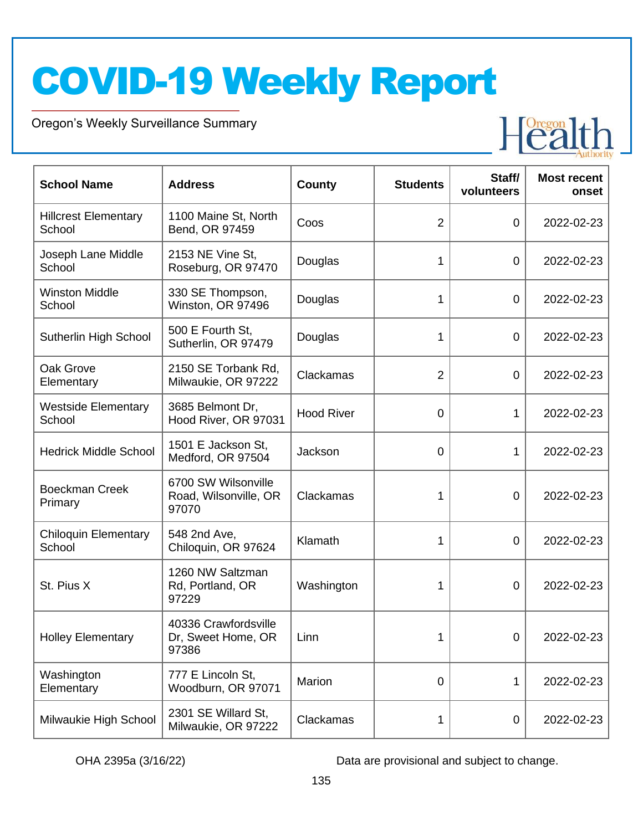Oregon's Weekly Surveillance Summary

Novel Coronavirus (COVID-19)



| <b>School Name</b>                    | <b>Address</b>                                        | <b>County</b>     | <b>Students</b> | Staff/<br>volunteers | <b>Most recent</b><br>onset |
|---------------------------------------|-------------------------------------------------------|-------------------|-----------------|----------------------|-----------------------------|
| <b>Hillcrest Elementary</b><br>School | 1100 Maine St, North<br>Bend, OR 97459                | Coos              | $\overline{2}$  | 0                    | 2022-02-23                  |
| Joseph Lane Middle<br>School          | 2153 NE Vine St,<br>Roseburg, OR 97470                | Douglas           | 1               | 0                    | 2022-02-23                  |
| <b>Winston Middle</b><br>School       | 330 SE Thompson,<br>Winston, OR 97496                 | Douglas           | 1               | 0                    | 2022-02-23                  |
| Sutherlin High School                 | 500 E Fourth St,<br>Sutherlin, OR 97479               | Douglas           | 1               | 0                    | 2022-02-23                  |
| Oak Grove<br>Elementary               | 2150 SE Torbank Rd,<br>Milwaukie, OR 97222            | Clackamas         | $\overline{2}$  | $\overline{0}$       | 2022-02-23                  |
| <b>Westside Elementary</b><br>School  | 3685 Belmont Dr,<br>Hood River, OR 97031              | <b>Hood River</b> | $\mathbf 0$     | 1                    | 2022-02-23                  |
| <b>Hedrick Middle School</b>          | 1501 E Jackson St,<br>Medford, OR 97504               | Jackson           | $\mathbf 0$     | 1                    | 2022-02-23                  |
| <b>Boeckman Creek</b><br>Primary      | 6700 SW Wilsonville<br>Road, Wilsonville, OR<br>97070 | Clackamas         | 1               | 0                    | 2022-02-23                  |
| <b>Chiloquin Elementary</b><br>School | 548 2nd Ave,<br>Chiloquin, OR 97624                   | Klamath           | 1               | 0                    | 2022-02-23                  |
| St. Pius X                            | 1260 NW Saltzman<br>Rd, Portland, OR<br>97229         | Washington        | 1               | 0                    | 2022-02-23                  |
| <b>Holley Elementary</b>              | 40336 Crawfordsville<br>Dr, Sweet Home, OR<br>97386   | Linn              | 1               | 0                    | 2022-02-23                  |
| Washington<br>Elementary              | 777 E Lincoln St,<br>Woodburn, OR 97071               | Marion            | 0               | 1                    | 2022-02-23                  |
| Milwaukie High School                 | 2301 SE Willard St,<br>Milwaukie, OR 97222            | Clackamas         | 1               | 0                    | 2022-02-23                  |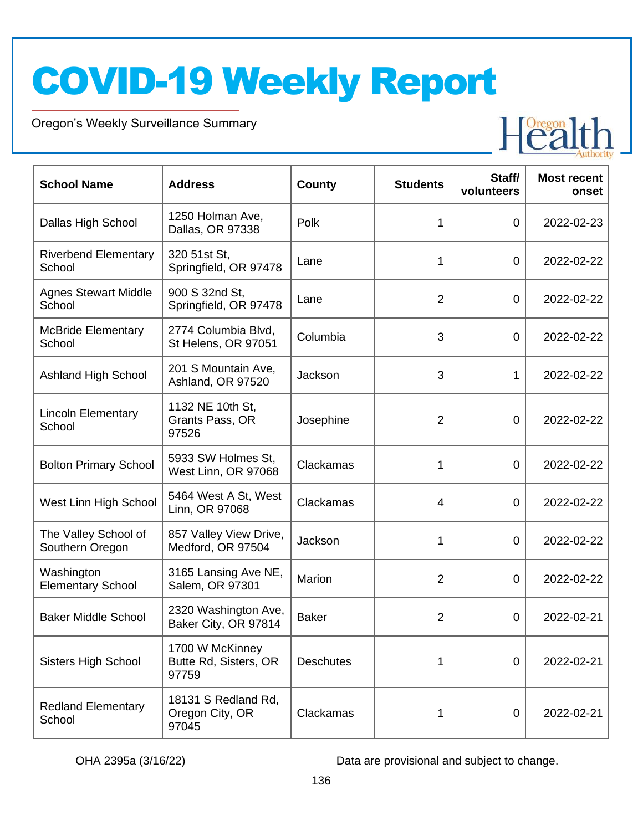Oregon's Weekly Surveillance Summary

Novel Coronavirus (COVID-19)



| <b>School Name</b>                      | <b>Address</b>                                    | <b>County</b>    | <b>Students</b> | Staff/<br>volunteers | <b>Most recent</b><br>onset |
|-----------------------------------------|---------------------------------------------------|------------------|-----------------|----------------------|-----------------------------|
| Dallas High School                      | 1250 Holman Ave,<br>Dallas, OR 97338              | Polk             | 1               | $\overline{0}$       | 2022-02-23                  |
| <b>Riverbend Elementary</b><br>School   | 320 51st St,<br>Springfield, OR 97478             | Lane             | 1               | $\overline{0}$       | 2022-02-22                  |
| <b>Agnes Stewart Middle</b><br>School   | 900 S 32nd St,<br>Springfield, OR 97478           | Lane             | $\overline{2}$  | $\overline{0}$       | 2022-02-22                  |
| <b>McBride Elementary</b><br>School     | 2774 Columbia Blvd,<br>St Helens, OR 97051        | Columbia         | 3               | $\overline{0}$       | 2022-02-22                  |
| <b>Ashland High School</b>              | 201 S Mountain Ave,<br>Ashland, OR 97520          | Jackson          | 3               | 1                    | 2022-02-22                  |
| <b>Lincoln Elementary</b><br>School     | 1132 NE 10th St,<br>Grants Pass, OR<br>97526      | Josephine        | $\overline{2}$  | $\overline{0}$       | 2022-02-22                  |
| <b>Bolton Primary School</b>            | 5933 SW Holmes St.<br>West Linn, OR 97068         | Clackamas        | 1               | $\overline{0}$       | 2022-02-22                  |
| West Linn High School                   | 5464 West A St, West<br>Linn, OR 97068            | Clackamas        | $\overline{4}$  | $\overline{0}$       | 2022-02-22                  |
| The Valley School of<br>Southern Oregon | 857 Valley View Drive,<br>Medford, OR 97504       | Jackson          | 1               | $\overline{0}$       | 2022-02-22                  |
| Washington<br><b>Elementary School</b>  | 3165 Lansing Ave NE,<br>Salem, OR 97301           | Marion           | $\overline{2}$  | 0                    | 2022-02-22                  |
| <b>Baker Middle School</b>              | 2320 Washington Ave,<br>Baker City, OR 97814      | <b>Baker</b>     | $\overline{2}$  | 0                    | 2022-02-21                  |
| <b>Sisters High School</b>              | 1700 W McKinney<br>Butte Rd, Sisters, OR<br>97759 | <b>Deschutes</b> | 1               | $\overline{0}$       | 2022-02-21                  |
| <b>Redland Elementary</b><br>School     | 18131 S Redland Rd,<br>Oregon City, OR<br>97045   | Clackamas        | 1               | 0                    | 2022-02-21                  |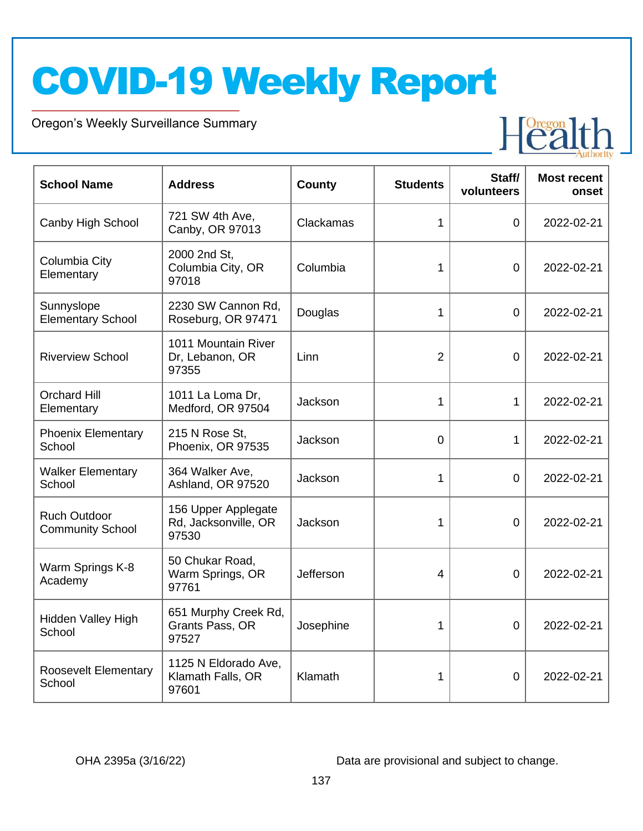Oregon's Weekly Surveillance Summary

Novel Coronavirus (COVID-19)



| <b>School Name</b>                             | <b>Address</b>                                       | County    | <b>Students</b> | Staff/<br>volunteers | <b>Most recent</b><br>onset |
|------------------------------------------------|------------------------------------------------------|-----------|-----------------|----------------------|-----------------------------|
| Canby High School                              | 721 SW 4th Ave,<br>Canby, OR 97013                   | Clackamas | 1               | $\overline{0}$       | 2022-02-21                  |
| Columbia City<br>Elementary                    | 2000 2nd St,<br>Columbia City, OR<br>97018           | Columbia  | 1               | 0                    | 2022-02-21                  |
| Sunnyslope<br><b>Elementary School</b>         | 2230 SW Cannon Rd,<br>Roseburg, OR 97471             | Douglas   | 1               | $\Omega$             | 2022-02-21                  |
| <b>Riverview School</b>                        | 1011 Mountain River<br>Dr, Lebanon, OR<br>97355      | Linn      | $\overline{2}$  | 0                    | 2022-02-21                  |
| <b>Orchard Hill</b><br>Elementary              | 1011 La Loma Dr,<br>Medford, OR 97504                | Jackson   | 1               | 1                    | 2022-02-21                  |
| <b>Phoenix Elementary</b><br>School            | 215 N Rose St,<br>Phoenix, OR 97535                  | Jackson   | 0               | 1                    | 2022-02-21                  |
| <b>Walker Elementary</b><br>School             | 364 Walker Ave,<br>Ashland, OR 97520                 | Jackson   | 1               | $\overline{0}$       | 2022-02-21                  |
| <b>Ruch Outdoor</b><br><b>Community School</b> | 156 Upper Applegate<br>Rd, Jacksonville, OR<br>97530 | Jackson   | 1               | $\mathbf 0$          | 2022-02-21                  |
| Warm Springs K-8<br>Academy                    | 50 Chukar Road,<br>Warm Springs, OR<br>97761         | Jefferson | 4               | 0                    | 2022-02-21                  |
| <b>Hidden Valley High</b><br>School            | 651 Murphy Creek Rd,<br>Grants Pass, OR<br>97527     | Josephine | 1               | 0                    | 2022-02-21                  |
| <b>Roosevelt Elementary</b><br>School          | 1125 N Eldorado Ave,<br>Klamath Falls, OR<br>97601   | Klamath   | 1               | $\mathbf 0$          | 2022-02-21                  |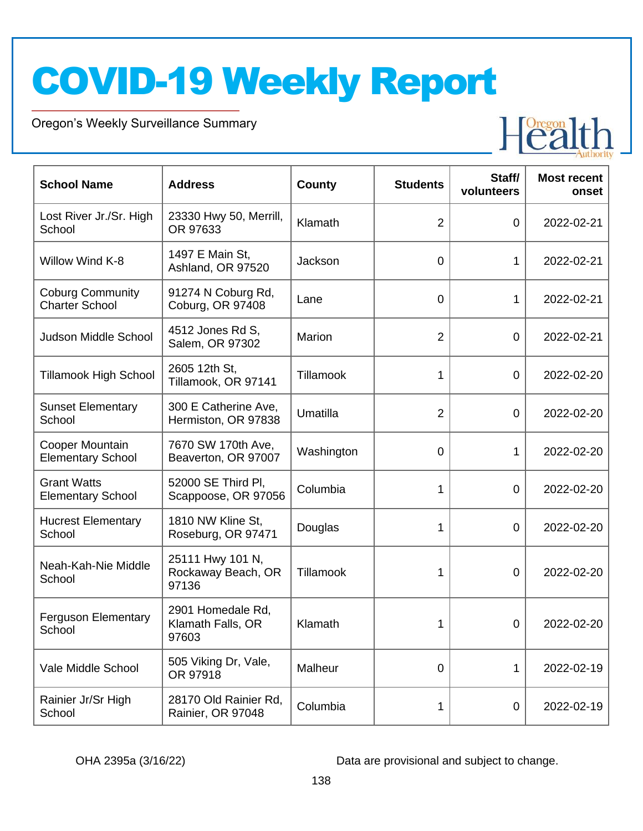Oregon's Weekly Surveillance Summary

Novel Coronavirus (COVID-19)



| <b>School Name</b>                               | <b>Address</b>                                  | <b>County</b>   | <b>Students</b> | Staff/<br>volunteers | <b>Most recent</b><br>onset |
|--------------------------------------------------|-------------------------------------------------|-----------------|-----------------|----------------------|-----------------------------|
| Lost River Jr./Sr. High<br>School                | 23330 Hwy 50, Merrill,<br>OR 97633              | Klamath         | 2               | 0                    | 2022-02-21                  |
| Willow Wind K-8                                  | 1497 E Main St,<br>Ashland, OR 97520            | Jackson         | 0               | 1                    | 2022-02-21                  |
| <b>Coburg Community</b><br><b>Charter School</b> | 91274 N Coburg Rd,<br>Coburg, OR 97408          | Lane            | 0               | 1                    | 2022-02-21                  |
| Judson Middle School                             | 4512 Jones Rd S,<br>Salem, OR 97302             | Marion          | $\overline{2}$  | 0                    | 2022-02-21                  |
| <b>Tillamook High School</b>                     | 2605 12th St,<br>Tillamook, OR 97141            | Tillamook       | 1               | $\mathbf 0$          | 2022-02-20                  |
| <b>Sunset Elementary</b><br>School               | 300 E Catherine Ave,<br>Hermiston, OR 97838     | <b>Umatilla</b> | $\overline{2}$  | $\mathbf 0$          | 2022-02-20                  |
| Cooper Mountain<br><b>Elementary School</b>      | 7670 SW 170th Ave,<br>Beaverton, OR 97007       | Washington      | 0               | 1                    | 2022-02-20                  |
| <b>Grant Watts</b><br><b>Elementary School</b>   | 52000 SE Third PI,<br>Scappoose, OR 97056       | Columbia        | 1               | $\mathbf 0$          | 2022-02-20                  |
| <b>Hucrest Elementary</b><br>School              | 1810 NW Kline St,<br>Roseburg, OR 97471         | Douglas         | 1               | $\mathbf 0$          | 2022-02-20                  |
| Neah-Kah-Nie Middle<br>School                    | 25111 Hwy 101 N,<br>Rockaway Beach, OR<br>97136 | Tillamook       | 1               | 0                    | 2022-02-20                  |
| <b>Ferguson Elementary</b><br>School             | 2901 Homedale Rd,<br>Klamath Falls, OR<br>97603 | Klamath         | 1               | 0                    | 2022-02-20                  |
| Vale Middle School                               | 505 Viking Dr, Vale,<br>OR 97918                | Malheur         | 0               | 1                    | 2022-02-19                  |
| Rainier Jr/Sr High<br>School                     | 28170 Old Rainier Rd,<br>Rainier, OR 97048      | Columbia        | 1               | 0                    | 2022-02-19                  |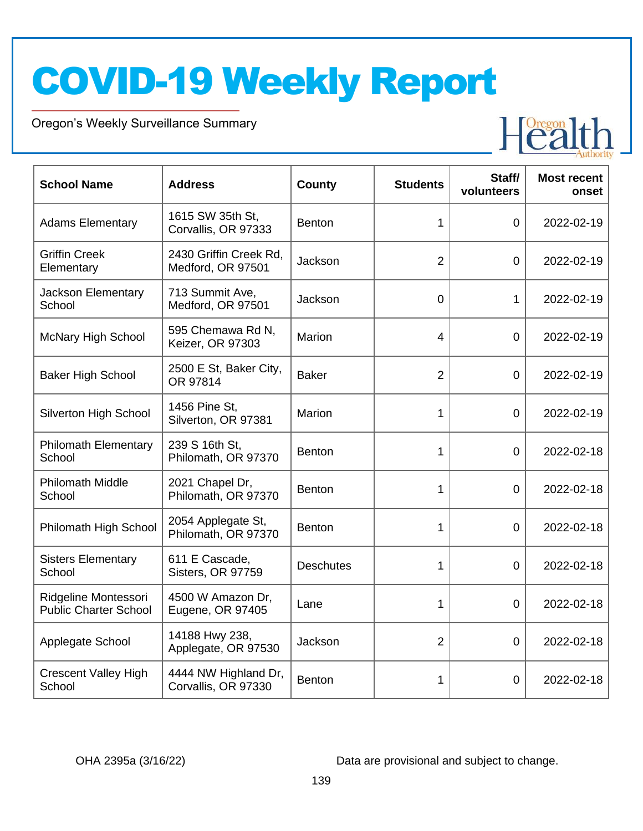Oregon's Weekly Surveillance Summary

Novel Coronavirus (COVID-19)



| <b>School Name</b>                                   | <b>Address</b>                              | <b>County</b>    | <b>Students</b> | Staff/<br>volunteers | <b>Most recent</b><br>onset |
|------------------------------------------------------|---------------------------------------------|------------------|-----------------|----------------------|-----------------------------|
| <b>Adams Elementary</b>                              | 1615 SW 35th St.<br>Corvallis, OR 97333     | <b>Benton</b>    | 1               | $\Omega$             | 2022-02-19                  |
| <b>Griffin Creek</b><br>Elementary                   | 2430 Griffin Creek Rd,<br>Medford, OR 97501 | Jackson          | $\overline{2}$  | $\overline{0}$       | 2022-02-19                  |
| Jackson Elementary<br>School                         | 713 Summit Ave,<br>Medford, OR 97501        | Jackson          | 0               | 1                    | 2022-02-19                  |
| <b>McNary High School</b>                            | 595 Chemawa Rd N,<br>Keizer, OR 97303       | Marion           | 4               | $\overline{0}$       | 2022-02-19                  |
| <b>Baker High School</b>                             | 2500 E St, Baker City,<br>OR 97814          | <b>Baker</b>     | $\overline{2}$  | $\overline{0}$       | 2022-02-19                  |
| <b>Silverton High School</b>                         | 1456 Pine St,<br>Silverton, OR 97381        | Marion           | 1               | $\overline{0}$       | 2022-02-19                  |
| <b>Philomath Elementary</b><br>School                | 239 S 16th St,<br>Philomath, OR 97370       | <b>Benton</b>    | 1               | $\overline{0}$       | 2022-02-18                  |
| <b>Philomath Middle</b><br>School                    | 2021 Chapel Dr,<br>Philomath, OR 97370      | <b>Benton</b>    | 1               | $\overline{0}$       | 2022-02-18                  |
| Philomath High School                                | 2054 Applegate St,<br>Philomath, OR 97370   | <b>Benton</b>    | 1               | 0                    | 2022-02-18                  |
| <b>Sisters Elementary</b><br>School                  | 611 E Cascade,<br>Sisters, OR 97759         | <b>Deschutes</b> | 1               | $\overline{0}$       | 2022-02-18                  |
| Ridgeline Montessori<br><b>Public Charter School</b> | 4500 W Amazon Dr,<br>Eugene, OR 97405       | Lane             | 1               | $\overline{0}$       | 2022-02-18                  |
| Applegate School                                     | 14188 Hwy 238,<br>Applegate, OR 97530       | Jackson          | $\overline{2}$  | $\overline{0}$       | 2022-02-18                  |
| <b>Crescent Valley High</b><br>School                | 4444 NW Highland Dr,<br>Corvallis, OR 97330 | <b>Benton</b>    | 1               | 0                    | 2022-02-18                  |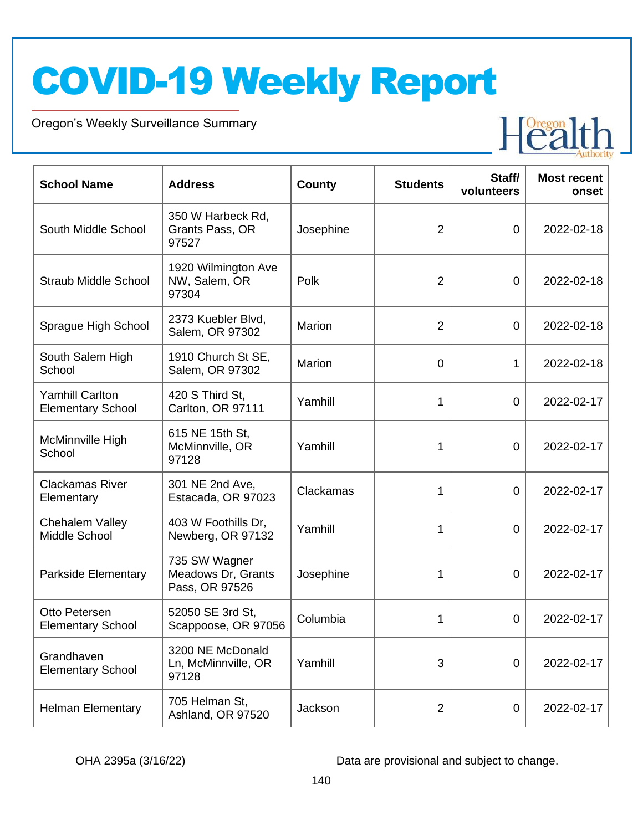Oregon's Weekly Surveillance Summary

Novel Coronavirus (COVID-19)



| <b>School Name</b>                                 | <b>Address</b>                                        | <b>County</b> | <b>Students</b> | Staff/<br>volunteers | <b>Most recent</b><br>onset |
|----------------------------------------------------|-------------------------------------------------------|---------------|-----------------|----------------------|-----------------------------|
| South Middle School                                | 350 W Harbeck Rd,<br>Grants Pass, OR<br>97527         | Josephine     | $\overline{2}$  | $\overline{0}$       | 2022-02-18                  |
| <b>Straub Middle School</b>                        | 1920 Wilmington Ave<br>NW, Salem, OR<br>97304         | Polk          | $\overline{2}$  | $\overline{0}$       | 2022-02-18                  |
| Sprague High School                                | 2373 Kuebler Blvd,<br>Salem, OR 97302                 | Marion        | $\overline{2}$  | $\mathbf 0$          | 2022-02-18                  |
| South Salem High<br>School                         | 1910 Church St SE,<br>Salem, OR 97302                 | Marion        | $\overline{0}$  | 1                    | 2022-02-18                  |
| <b>Yamhill Carlton</b><br><b>Elementary School</b> | 420 S Third St.<br>Carlton, OR 97111                  | Yamhill       | 1               | $\overline{0}$       | 2022-02-17                  |
| McMinnville High<br>School                         | 615 NE 15th St,<br>McMinnville, OR<br>97128           | Yamhill       | 1               | $\overline{0}$       | 2022-02-17                  |
| <b>Clackamas River</b><br>Elementary               | 301 NE 2nd Ave,<br>Estacada, OR 97023                 | Clackamas     | 1               | $\overline{0}$       | 2022-02-17                  |
| Chehalem Valley<br>Middle School                   | 403 W Foothills Dr,<br>Newberg, OR 97132              | Yamhill       | 1               | $\overline{0}$       | 2022-02-17                  |
| Parkside Elementary                                | 735 SW Wagner<br>Meadows Dr, Grants<br>Pass, OR 97526 | Josephine     | 1               | 0                    | 2022-02-17                  |
| Otto Petersen<br><b>Elementary School</b>          | 52050 SE 3rd St,<br>Scappoose, OR 97056               | Columbia      | 1               | 0                    | 2022-02-17                  |
| Grandhaven<br><b>Elementary School</b>             | 3200 NE McDonald<br>Ln, McMinnville, OR<br>97128      | Yamhill       | 3               | $\mathbf 0$          | 2022-02-17                  |
| <b>Helman Elementary</b>                           | 705 Helman St,<br>Ashland, OR 97520                   | Jackson       | $\overline{2}$  | 0                    | 2022-02-17                  |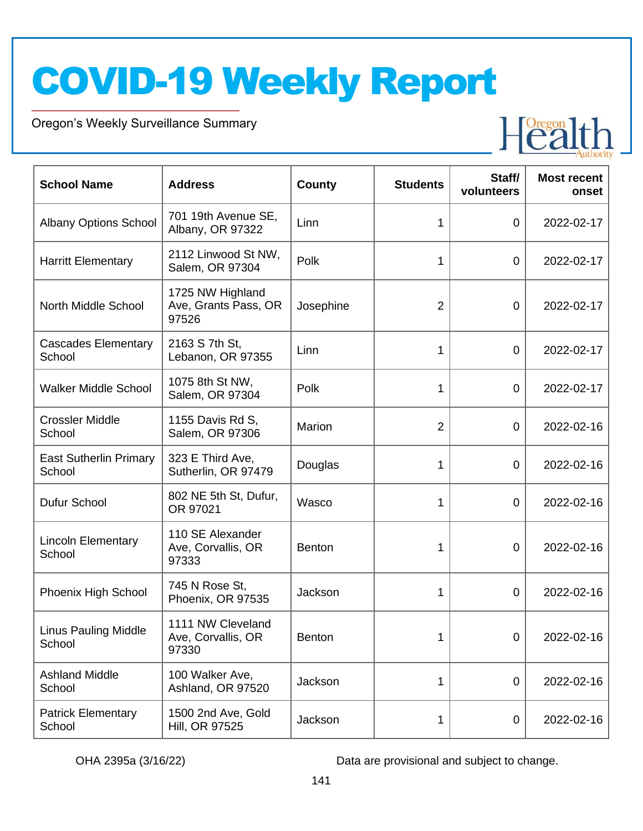Oregon's Weekly Surveillance Summary

Novel Coronavirus (COVID-19)



| <b>School Name</b>                      | <b>Address</b>                                    | County        | <b>Students</b> | Staff/<br>volunteers | <b>Most recent</b><br>onset |
|-----------------------------------------|---------------------------------------------------|---------------|-----------------|----------------------|-----------------------------|
| <b>Albany Options School</b>            | 701 19th Avenue SE,<br>Albany, OR 97322           | Linn          | 1               | $\overline{0}$       | 2022-02-17                  |
| <b>Harritt Elementary</b>               | 2112 Linwood St NW,<br>Salem, OR 97304            | Polk          | 1               | 0                    | 2022-02-17                  |
| North Middle School                     | 1725 NW Highland<br>Ave, Grants Pass, OR<br>97526 | Josephine     | $\overline{2}$  | 0                    | 2022-02-17                  |
| <b>Cascades Elementary</b><br>School    | 2163 S 7th St,<br>Lebanon, OR 97355               | Linn          | 1               | $\overline{0}$       | 2022-02-17                  |
| <b>Walker Middle School</b>             | 1075 8th St NW,<br>Salem, OR 97304                | Polk          | 1               | $\overline{0}$       | 2022-02-17                  |
| <b>Crossler Middle</b><br>School        | 1155 Davis Rd S,<br>Salem, OR 97306               | Marion        | $\overline{2}$  | $\overline{0}$       | 2022-02-16                  |
| <b>East Sutherlin Primary</b><br>School | 323 E Third Ave,<br>Sutherlin, OR 97479           | Douglas       | 1               | $\overline{0}$       | 2022-02-16                  |
| Dufur School                            | 802 NE 5th St, Dufur,<br>OR 97021                 | Wasco         | 1               | $\overline{0}$       | 2022-02-16                  |
| <b>Lincoln Elementary</b><br>School     | 110 SE Alexander<br>Ave, Corvallis, OR<br>97333   | <b>Benton</b> | 1               | 0                    | 2022-02-16                  |
| Phoenix High School                     | 745 N Rose St,<br>Phoenix, OR 97535               | Jackson       | 1               | 0                    | 2022-02-16                  |
| <b>Linus Pauling Middle</b><br>School   | 1111 NW Cleveland<br>Ave, Corvallis, OR<br>97330  | <b>Benton</b> |                 | 0                    | 2022-02-16                  |
| <b>Ashland Middle</b><br>School         | 100 Walker Ave,<br>Ashland, OR 97520              | Jackson       | 1               | 0                    | 2022-02-16                  |
| <b>Patrick Elementary</b><br>School     | 1500 2nd Ave, Gold<br>Hill, OR 97525              | Jackson       | 1               | $\mathbf 0$          | 2022-02-16                  |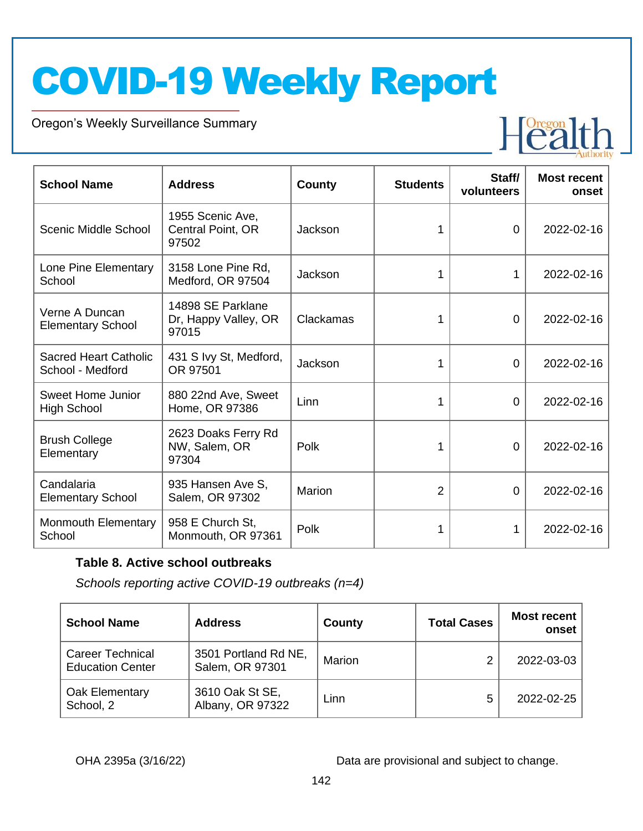Oregon's Weekly Surveillance Summary

Novel Coronavirus (COVID-19)



| <b>School Name</b>                               | <b>Address</b>                                     | <b>County</b> | <b>Students</b> | Staff/<br>volunteers | <b>Most recent</b><br>onset |
|--------------------------------------------------|----------------------------------------------------|---------------|-----------------|----------------------|-----------------------------|
| Scenic Middle School                             | 1955 Scenic Ave,<br>Central Point, OR<br>97502     | Jackson       |                 | $\Omega$             | 2022-02-16                  |
| Lone Pine Elementary<br>School                   | 3158 Lone Pine Rd,<br>Medford, OR 97504            | Jackson       | 1               | 1                    | 2022-02-16                  |
| Verne A Duncan<br><b>Elementary School</b>       | 14898 SE Parklane<br>Dr, Happy Valley, OR<br>97015 | Clackamas     |                 | 0                    | 2022-02-16                  |
| <b>Sacred Heart Catholic</b><br>School - Medford | 431 S Ivy St, Medford,<br>OR 97501                 | Jackson       |                 | $\Omega$             | 2022-02-16                  |
| <b>Sweet Home Junior</b><br><b>High School</b>   | 880 22nd Ave, Sweet<br>Home, OR 97386              | Linn          | 1               | 0                    | 2022-02-16                  |
| <b>Brush College</b><br>Elementary               | 2623 Doaks Ferry Rd<br>NW, Salem, OR<br>97304      | Polk          |                 | $\overline{0}$       | 2022-02-16                  |
| Candalaria<br><b>Elementary School</b>           | 935 Hansen Ave S,<br>Salem, OR 97302               | Marion        | $\overline{2}$  | 0                    | 2022-02-16                  |
| <b>Monmouth Elementary</b><br>School             | 958 E Church St,<br>Monmouth, OR 97361             | Polk          | 1               | 1                    | 2022-02-16                  |

#### **Table 8. Active school outbreaks**

*Schools reporting active COVID-19 outbreaks (n=4)*

| <b>School Name</b>                                 | <b>Address</b>                          | County | <b>Total Cases</b> | Most recent<br>onset |
|----------------------------------------------------|-----------------------------------------|--------|--------------------|----------------------|
| <b>Career Technical</b><br><b>Education Center</b> | 3501 Portland Rd NE,<br>Salem, OR 97301 | Marion | ົ                  | 2022-03-03           |
| Oak Elementary<br>School, 2                        | 3610 Oak St SE,<br>Albany, OR 97322     | Linn   | 5                  | 2022-02-25           |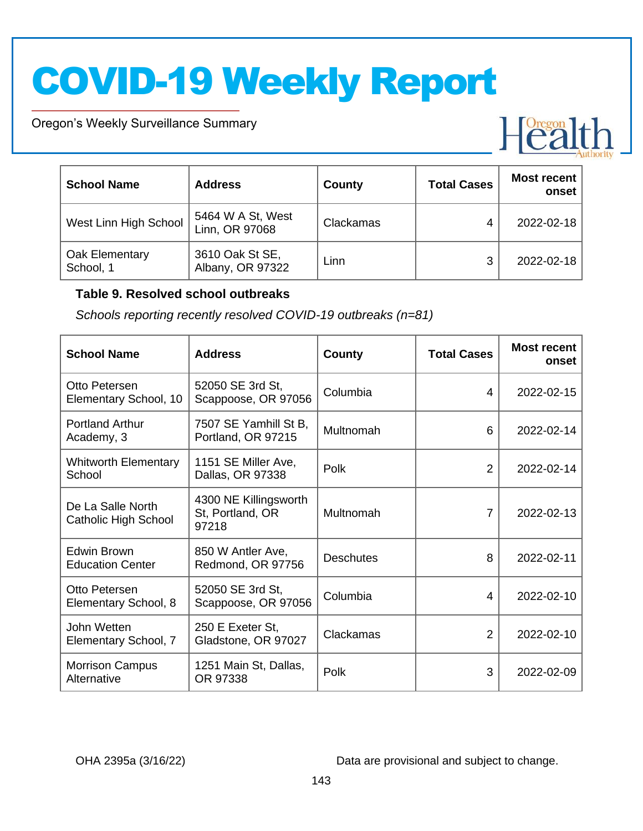Oregon's Weekly Surveillance Summary

Novel Coronavirus (COVID-19)

| <b>School Name</b>          | <b>Address</b>                      | County    | <b>Total Cases</b> | <b>Most recent</b><br>onset |
|-----------------------------|-------------------------------------|-----------|--------------------|-----------------------------|
| West Linn High School       | 5464 W A St, West<br>Linn, OR 97068 | Clackamas | 4                  | 2022-02-18                  |
| Oak Elementary<br>School, 1 | 3610 Oak St SE,<br>Albany, OR 97322 | Linn      | 3                  | 2022-02-18                  |

#### **Table 9. Resolved school outbreaks**

*Schools reporting recently resolved COVID-19 outbreaks (n=81)*

| <b>School Name</b>                            | <b>Address</b>                                     | County           | <b>Total Cases</b> | <b>Most recent</b><br>onset |
|-----------------------------------------------|----------------------------------------------------|------------------|--------------------|-----------------------------|
| Otto Petersen<br>Elementary School, 10        | 52050 SE 3rd St,<br>Scappoose, OR 97056            | Columbia         | 4                  | 2022-02-15                  |
| <b>Portland Arthur</b><br>Academy, 3          | 7507 SE Yamhill St B,<br>Portland, OR 97215        | Multnomah        | 6                  | 2022-02-14                  |
| <b>Whitworth Elementary</b><br>School         | 1151 SE Miller Ave,<br>Dallas, OR 97338            | Polk             | $\overline{2}$     | 2022-02-14                  |
| De La Salle North<br>Catholic High School     | 4300 NE Killingsworth<br>St, Portland, OR<br>97218 | Multnomah        | $\overline{7}$     | 2022-02-13                  |
| <b>Edwin Brown</b><br><b>Education Center</b> | 850 W Antler Ave,<br>Redmond, OR 97756             | <b>Deschutes</b> | 8                  | 2022-02-11                  |
| Otto Petersen<br>Elementary School, 8         | 52050 SE 3rd St,<br>Scappoose, OR 97056            | Columbia         | 4                  | 2022-02-10                  |
| John Wetten<br>Elementary School, 7           | 250 E Exeter St,<br>Gladstone, OR 97027            | Clackamas        | 2                  | 2022-02-10                  |
| <b>Morrison Campus</b><br>Alternative         | 1251 Main St, Dallas,<br>OR 97338                  | Polk             | 3                  | 2022-02-09                  |

OHA 2395a (3/16/22) Data are provisional and subject to change.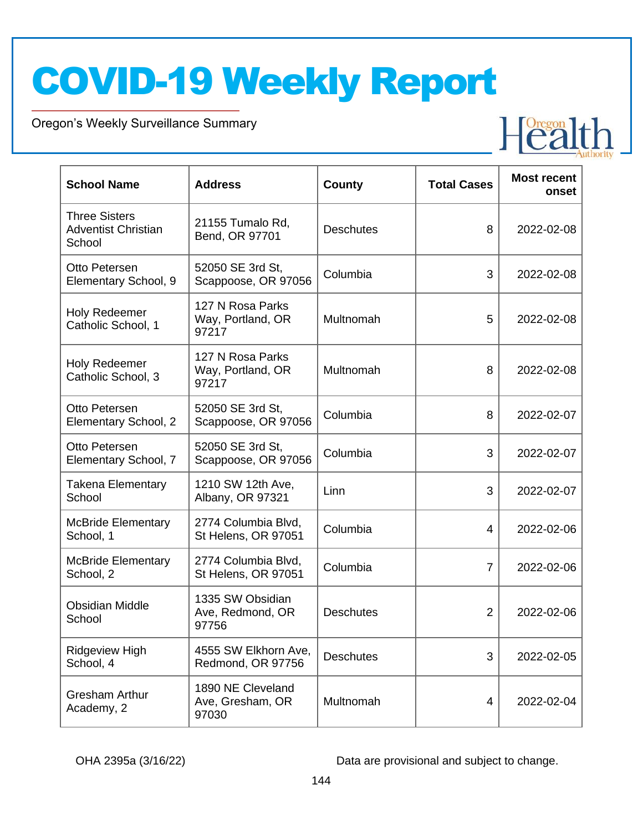Oregon's Weekly Surveillance Summary

Novel Coronavirus (COVID-19)

| <b>School Name</b>                                           | <b>Address</b>                                 | County           | <b>Total Cases</b> | <b>Most recent</b><br>onset |
|--------------------------------------------------------------|------------------------------------------------|------------------|--------------------|-----------------------------|
| <b>Three Sisters</b><br><b>Adventist Christian</b><br>School | 21155 Tumalo Rd,<br>Bend, OR 97701             | <b>Deschutes</b> | 8                  | 2022-02-08                  |
| Otto Petersen<br>Elementary School, 9                        | 52050 SE 3rd St,<br>Scappoose, OR 97056        | Columbia         | 3                  | 2022-02-08                  |
| <b>Holy Redeemer</b><br>Catholic School, 1                   | 127 N Rosa Parks<br>Way, Portland, OR<br>97217 | Multnomah        | 5                  | 2022-02-08                  |
| Holy Redeemer<br>Catholic School, 3                          | 127 N Rosa Parks<br>Way, Portland, OR<br>97217 | Multnomah        | 8                  | 2022-02-08                  |
| Otto Petersen<br>Elementary School, 2                        | 52050 SE 3rd St,<br>Scappoose, OR 97056        | Columbia         | 8                  | 2022-02-07                  |
| Otto Petersen<br>Elementary School, 7                        | 52050 SE 3rd St,<br>Scappoose, OR 97056        | Columbia         | 3                  | 2022-02-07                  |
| <b>Takena Elementary</b><br>School                           | 1210 SW 12th Ave,<br>Albany, OR 97321          | Linn             | 3                  | 2022-02-07                  |
| <b>McBride Elementary</b><br>School, 1                       | 2774 Columbia Blvd,<br>St Helens, OR 97051     | Columbia         | 4                  | 2022-02-06                  |
| <b>McBride Elementary</b><br>School, 2                       | 2774 Columbia Blvd,<br>St Helens, OR 97051     | Columbia         | $\overline{7}$     | 2022-02-06                  |
| <b>Obsidian Middle</b><br>School                             | 1335 SW Obsidian<br>Ave, Redmond, OR<br>97756  | <b>Deschutes</b> | $\overline{2}$     | 2022-02-06                  |
| <b>Ridgeview High</b><br>School, 4                           | 4555 SW Elkhorn Ave,<br>Redmond, OR 97756      | <b>Deschutes</b> | 3                  | 2022-02-05                  |
| <b>Gresham Arthur</b><br>Academy, 2                          | 1890 NE Cleveland<br>Ave, Gresham, OR<br>97030 | Multnomah        | 4                  | 2022-02-04                  |

OHA 2395a (3/16/22) Data are provisional and subject to change.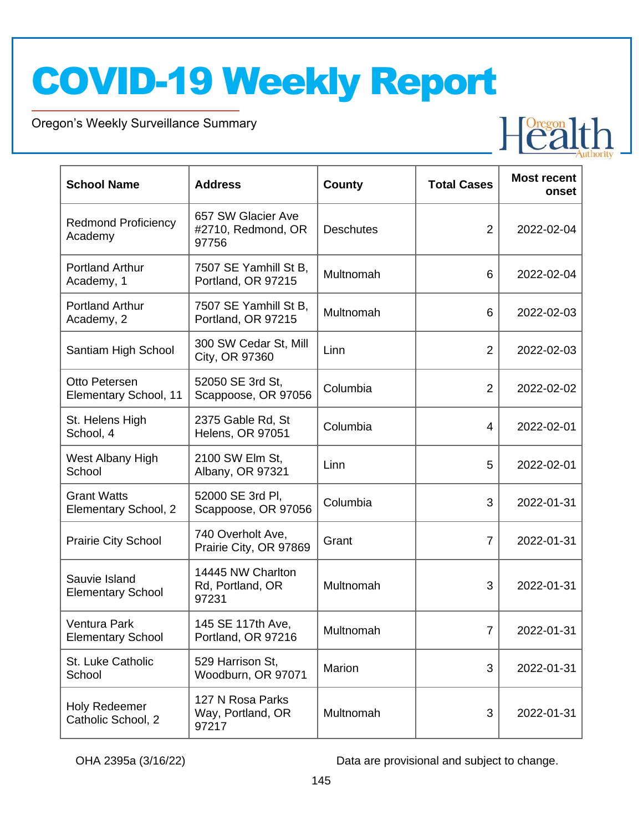Oregon's Weekly Surveillance Summary

Novel Coronavirus (COVID-19)

| <b>School Name</b>                         | <b>Address</b>                                    | <b>County</b>    | <b>Total Cases</b> | <b>Most recent</b><br>onset |
|--------------------------------------------|---------------------------------------------------|------------------|--------------------|-----------------------------|
| <b>Redmond Proficiency</b><br>Academy      | 657 SW Glacier Ave<br>#2710, Redmond, OR<br>97756 | <b>Deschutes</b> | $\overline{2}$     | 2022-02-04                  |
| <b>Portland Arthur</b><br>Academy, 1       | 7507 SE Yamhill St B,<br>Portland, OR 97215       | Multnomah        | 6                  | 2022-02-04                  |
| <b>Portland Arthur</b><br>Academy, 2       | 7507 SE Yamhill St B,<br>Portland, OR 97215       | Multnomah        | 6                  | 2022-02-03                  |
| Santiam High School                        | 300 SW Cedar St, Mill<br>City, OR 97360           | Linn             | $\overline{2}$     | 2022-02-03                  |
| Otto Petersen<br>Elementary School, 11     | 52050 SE 3rd St,<br>Scappoose, OR 97056           | Columbia         | $\overline{2}$     | 2022-02-02                  |
| St. Helens High<br>School, 4               | 2375 Gable Rd, St<br>Helens, OR 97051             | Columbia         | 4                  | 2022-02-01                  |
| West Albany High<br>School                 | 2100 SW Elm St.<br>Albany, OR 97321               | Linn             | 5                  | 2022-02-01                  |
| <b>Grant Watts</b><br>Elementary School, 2 | 52000 SE 3rd PI,<br>Scappoose, OR 97056           | Columbia         | 3                  | 2022-01-31                  |
| <b>Prairie City School</b>                 | 740 Overholt Ave,<br>Prairie City, OR 97869       | Grant            | $\overline{7}$     | 2022-01-31                  |
| Sauvie Island<br><b>Elementary School</b>  | 14445 NW Charlton<br>Rd, Portland, OR<br>97231    | Multnomah        | 3                  | 2022-01-31                  |
| Ventura Park<br><b>Elementary School</b>   | 145 SE 117th Ave,<br>Portland, OR 97216           | Multnomah        | $\overline{7}$     | 2022-01-31                  |
| St. Luke Catholic<br>School                | 529 Harrison St,<br>Woodburn, OR 97071            | Marion           | 3                  | 2022-01-31                  |
| Holy Redeemer<br>Catholic School, 2        | 127 N Rosa Parks<br>Way, Portland, OR<br>97217    | Multnomah        | 3                  | 2022-01-31                  |

OHA 2395a (3/16/22) Data are provisional and subject to change.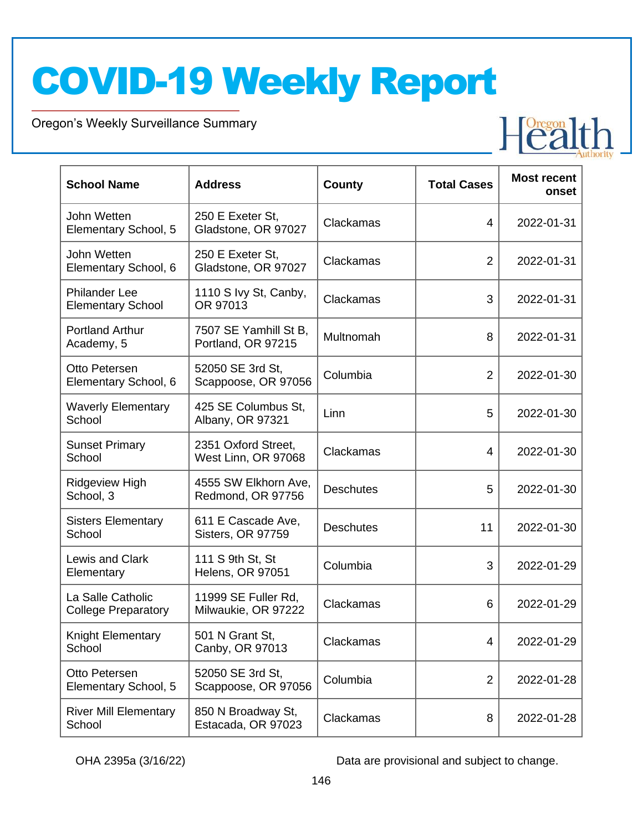Oregon's Weekly Surveillance Summary

Novel Coronavirus (COVID-19)



| <b>School Name</b>                               | <b>Address</b>                              | <b>County</b>    | <b>Total Cases</b> | <b>Most recent</b><br>onset |
|--------------------------------------------------|---------------------------------------------|------------------|--------------------|-----------------------------|
| John Wetten<br>Elementary School, 5              | 250 E Exeter St,<br>Gladstone, OR 97027     | Clackamas        | 4                  | 2022-01-31                  |
| John Wetten<br>Elementary School, 6              | 250 E Exeter St,<br>Gladstone, OR 97027     | Clackamas        | $\overline{2}$     | 2022-01-31                  |
| <b>Philander Lee</b><br><b>Elementary School</b> | 1110 S Ivy St, Canby,<br>OR 97013           | Clackamas        | 3                  | 2022-01-31                  |
| <b>Portland Arthur</b><br>Academy, 5             | 7507 SE Yamhill St B,<br>Portland, OR 97215 | Multnomah        | 8                  | 2022-01-31                  |
| Otto Petersen<br>Elementary School, 6            | 52050 SE 3rd St,<br>Scappoose, OR 97056     | Columbia         | $\overline{2}$     | 2022-01-30                  |
| <b>Waverly Elementary</b><br>School              | 425 SE Columbus St,<br>Albany, OR 97321     | Linn             | 5                  | 2022-01-30                  |
| <b>Sunset Primary</b><br>School                  | 2351 Oxford Street,<br>West Linn, OR 97068  | Clackamas        | 4                  | 2022-01-30                  |
| Ridgeview High<br>School, 3                      | 4555 SW Elkhorn Ave,<br>Redmond, OR 97756   | <b>Deschutes</b> | 5                  | 2022-01-30                  |
| <b>Sisters Elementary</b><br>School              | 611 E Cascade Ave,<br>Sisters, OR 97759     | <b>Deschutes</b> | 11                 | 2022-01-30                  |
| Lewis and Clark<br>Elementary                    | 111 S 9th St, St<br>Helens, OR 97051        | Columbia         | 3                  | 2022-01-29                  |
| La Salle Catholic<br><b>College Preparatory</b>  | 11999 SE Fuller Rd,<br>Milwaukie, OR 97222  | Clackamas        | 6                  | 2022-01-29                  |
| Knight Elementary<br>School                      | 501 N Grant St,<br>Canby, OR 97013          | Clackamas        | 4                  | 2022-01-29                  |
| Otto Petersen<br>Elementary School, 5            | 52050 SE 3rd St,<br>Scappoose, OR 97056     | Columbia         | $\overline{2}$     | 2022-01-28                  |
| <b>River Mill Elementary</b><br>School           | 850 N Broadway St,<br>Estacada, OR 97023    | Clackamas        | 8                  | 2022-01-28                  |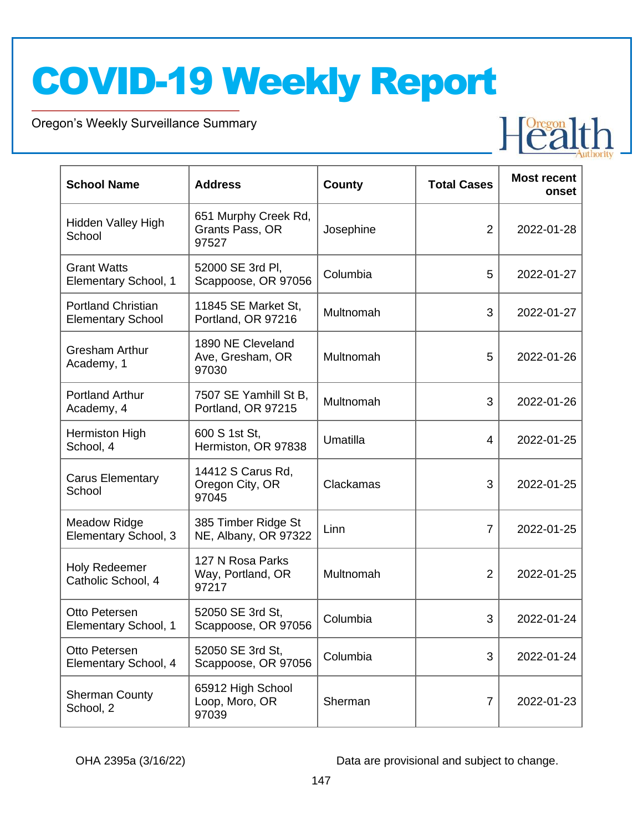Oregon's Weekly Surveillance Summary

Novel Coronavirus (COVID-19)

| <b>School Name</b>                                    | <b>Address</b>                                   | County    | <b>Total Cases</b> | <b>Most recent</b><br>onset |
|-------------------------------------------------------|--------------------------------------------------|-----------|--------------------|-----------------------------|
| Hidden Valley High<br>School                          | 651 Murphy Creek Rd,<br>Grants Pass, OR<br>97527 | Josephine | $\overline{2}$     | 2022-01-28                  |
| <b>Grant Watts</b><br>Elementary School, 1            | 52000 SE 3rd PI,<br>Scappoose, OR 97056          | Columbia  | 5                  | 2022-01-27                  |
| <b>Portland Christian</b><br><b>Elementary School</b> | 11845 SE Market St,<br>Portland, OR 97216        | Multnomah | 3                  | 2022-01-27                  |
| <b>Gresham Arthur</b><br>Academy, 1                   | 1890 NE Cleveland<br>Ave, Gresham, OR<br>97030   | Multnomah | 5                  | 2022-01-26                  |
| <b>Portland Arthur</b><br>Academy, 4                  | 7507 SE Yamhill St B,<br>Portland, OR 97215      | Multnomah | 3                  | 2022-01-26                  |
| Hermiston High<br>School, 4                           | 600 S 1st St,<br>Hermiston, OR 97838             | Umatilla  | 4                  | 2022-01-25                  |
| <b>Carus Elementary</b><br>School                     | 14412 S Carus Rd,<br>Oregon City, OR<br>97045    | Clackamas | 3                  | 2022-01-25                  |
| <b>Meadow Ridge</b><br>Elementary School, 3           | 385 Timber Ridge St<br>NE, Albany, OR 97322      | Linn      | $\overline{7}$     | 2022-01-25                  |
| <b>Holy Redeemer</b><br>Catholic School, 4            | 127 N Rosa Parks<br>Way, Portland, OR<br>97217   | Multnomah | $\overline{2}$     | 2022-01-25                  |
| Otto Petersen<br>Elementary School, 1                 | 52050 SE 3rd St.<br>Scappoose, OR 97056          | Columbia  | 3                  | 2022-01-24                  |
| Otto Petersen<br>Elementary School, 4                 | 52050 SE 3rd St,<br>Scappoose, OR 97056          | Columbia  | 3                  | 2022-01-24                  |
| <b>Sherman County</b><br>School, 2                    | 65912 High School<br>Loop, Moro, OR<br>97039     | Sherman   | $\overline{7}$     | 2022-01-23                  |

OHA 2395a (3/16/22) Data are provisional and subject to change.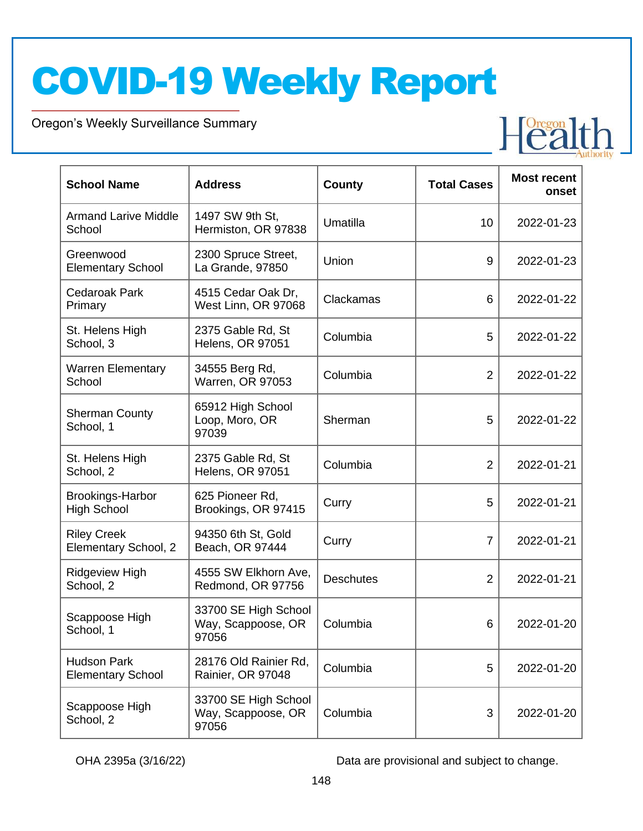Oregon's Weekly Surveillance Summary

Novel Coronavirus (COVID-19)



| <b>School Name</b>                             | <b>Address</b>                                      | County           | <b>Total Cases</b> | <b>Most recent</b><br>onset |
|------------------------------------------------|-----------------------------------------------------|------------------|--------------------|-----------------------------|
| <b>Armand Larive Middle</b><br>School          | 1497 SW 9th St,<br>Hermiston, OR 97838              | Umatilla         | 10                 | 2022-01-23                  |
| Greenwood<br><b>Elementary School</b>          | 2300 Spruce Street,<br>La Grande, 97850             | Union            | 9                  | 2022-01-23                  |
| Cedaroak Park<br>Primary                       | 4515 Cedar Oak Dr,<br>West Linn, OR 97068           | Clackamas        | 6                  | 2022-01-22                  |
| St. Helens High<br>School, 3                   | 2375 Gable Rd, St<br>Helens, OR 97051               | Columbia         | 5                  | 2022-01-22                  |
| <b>Warren Elementary</b><br>School             | 34555 Berg Rd,<br>Warren, OR 97053                  | Columbia         | $\overline{2}$     | 2022-01-22                  |
| <b>Sherman County</b><br>School, 1             | 65912 High School<br>Loop, Moro, OR<br>97039        | Sherman          | 5                  | 2022-01-22                  |
| St. Helens High<br>School, 2                   | 2375 Gable Rd, St<br><b>Helens, OR 97051</b>        | Columbia         | $\overline{2}$     | 2022-01-21                  |
| <b>Brookings-Harbor</b><br><b>High School</b>  | 625 Pioneer Rd,<br>Brookings, OR 97415              | Curry            | 5                  | 2022-01-21                  |
| <b>Riley Creek</b><br>Elementary School, 2     | 94350 6th St, Gold<br>Beach, OR 97444               | Curry            | $\overline{7}$     | 2022-01-21                  |
| <b>Ridgeview High</b><br>School, 2             | 4555 SW Elkhorn Ave,<br>Redmond, OR 97756           | <b>Deschutes</b> | $\overline{2}$     | 2022-01-21                  |
| Scappoose High<br>School, 1                    | 33700 SE High School<br>Way, Scappoose, OR<br>97056 | Columbia         | 6                  | 2022-01-20                  |
| <b>Hudson Park</b><br><b>Elementary School</b> | 28176 Old Rainier Rd,<br>Rainier, OR 97048          | Columbia         | 5                  | 2022-01-20                  |
| Scappoose High<br>School, 2                    | 33700 SE High School<br>Way, Scappoose, OR<br>97056 | Columbia         | 3                  | 2022-01-20                  |